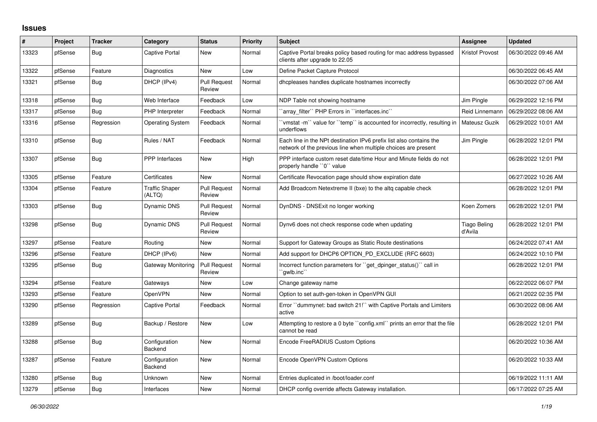## **Issues**

| #     | Project | <b>Tracker</b> | Category                        | <b>Status</b>                 | <b>Priority</b> | <b>Subject</b>                                                                                                                        | <b>Assignee</b>                | <b>Updated</b>      |
|-------|---------|----------------|---------------------------------|-------------------------------|-----------------|---------------------------------------------------------------------------------------------------------------------------------------|--------------------------------|---------------------|
| 13323 | pfSense | Bug            | Captive Portal                  | New                           | Normal          | Captive Portal breaks policy based routing for mac address bypassed<br>clients after upgrade to 22.05                                 | Kristof Provost                | 06/30/2022 09:46 AM |
| 13322 | pfSense | Feature        | Diagnostics                     | <b>New</b>                    | Low             | Define Packet Capture Protocol                                                                                                        |                                | 06/30/2022 06:45 AM |
| 13321 | pfSense | Bug            | DHCP (IPv4)                     | <b>Pull Request</b><br>Review | Normal          | dhcpleases handles duplicate hostnames incorrectly                                                                                    |                                | 06/30/2022 07:06 AM |
| 13318 | pfSense | Bug            | Web Interface                   | Feedback                      | Low             | NDP Table not showing hostname                                                                                                        | Jim Pingle                     | 06/29/2022 12:16 PM |
| 13317 | pfSense | Bug            | PHP Interpreter                 | Feedback                      | Normal          | 'array filter" PHP Errors in "interfaces.inc"                                                                                         | <b>Reid Linnemann</b>          | 06/29/2022 08:06 AM |
| 13316 | pfSense | Regression     | <b>Operating System</b>         | Feedback                      | Normal          | 'vmstat -m'` value for ''temp'' is accounted for incorrectly, resulting in<br>underflows                                              | Mateusz Guzik                  | 06/29/2022 10:01 AM |
| 13310 | pfSense | <b>Bug</b>     | Rules / NAT                     | Feedback                      | Normal          | Each line in the NPt destination IPv6 prefix list also contains the<br>network of the previous line when multiple choices are present | Jim Pingle                     | 06/28/2022 12:01 PM |
| 13307 | pfSense | Bug            | <b>PPP</b> Interfaces           | New                           | High            | PPP interface custom reset date/time Hour and Minute fields do not<br>properly handle "0" value                                       |                                | 06/28/2022 12:01 PM |
| 13305 | pfSense | Feature        | Certificates                    | <b>New</b>                    | Normal          | Certificate Revocation page should show expiration date                                                                               |                                | 06/27/2022 10:26 AM |
| 13304 | pfSense | Feature        | <b>Traffic Shaper</b><br>(ALTQ) | <b>Pull Request</b><br>Review | Normal          | Add Broadcom Netextreme II (bxe) to the altg capable check                                                                            |                                | 06/28/2022 12:01 PM |
| 13303 | pfSense | <b>Bug</b>     | Dynamic DNS                     | <b>Pull Request</b><br>Review | Normal          | DynDNS - DNSExit no longer working                                                                                                    | Koen Zomers                    | 06/28/2022 12:01 PM |
| 13298 | pfSense | Bug            | Dynamic DNS                     | <b>Pull Request</b><br>Review | Normal          | Dynv6 does not check response code when updating                                                                                      | <b>Tiago Beling</b><br>d'Avila | 06/28/2022 12:01 PM |
| 13297 | pfSense | Feature        | Routina                         | <b>New</b>                    | Normal          | Support for Gateway Groups as Static Route destinations                                                                               |                                | 06/24/2022 07:41 AM |
| 13296 | pfSense | Feature        | DHCP (IPv6)                     | New                           | Normal          | Add support for DHCP6 OPTION_PD_EXCLUDE (RFC 6603)                                                                                    |                                | 06/24/2022 10:10 PM |
| 13295 | pfSense | Bug            | Gateway Monitoring              | <b>Pull Request</b><br>Review | Normal          | Incorrect function parameters for "get dpinger status()" call in<br>`qwlb.inc``                                                       |                                | 06/28/2022 12:01 PM |
| 13294 | pfSense | Feature        | Gateways                        | New                           | Low             | Change gateway name                                                                                                                   |                                | 06/22/2022 06:07 PM |
| 13293 | pfSense | Feature        | OpenVPN                         | New                           | Normal          | Option to set auth-gen-token in OpenVPN GUI                                                                                           |                                | 06/21/2022 02:35 PM |
| 13290 | pfSense | Regression     | Captive Portal                  | Feedback                      | Normal          | Error "dummynet: bad switch 21!" with Captive Portals and Limiters<br>active                                                          |                                | 06/30/2022 08:06 AM |
| 13289 | pfSense | Bug            | Backup / Restore                | New                           | Low             | Attempting to restore a 0 byte "config.xml" prints an error that the file<br>cannot be read                                           |                                | 06/28/2022 12:01 PM |
| 13288 | pfSense | Bug            | Configuration<br>Backend        | <b>New</b>                    | Normal          | Encode FreeRADIUS Custom Options                                                                                                      |                                | 06/20/2022 10:36 AM |
| 13287 | pfSense | Feature        | Configuration<br>Backend        | New                           | Normal          | Encode OpenVPN Custom Options                                                                                                         |                                | 06/20/2022 10:33 AM |
| 13280 | pfSense | <b>Bug</b>     | Unknown                         | <b>New</b>                    | Normal          | Entries duplicated in /boot/loader.conf                                                                                               |                                | 06/19/2022 11:11 AM |
| 13279 | pfSense | Bug            | Interfaces                      | New                           | Normal          | DHCP config override affects Gateway installation.                                                                                    |                                | 06/17/2022 07:25 AM |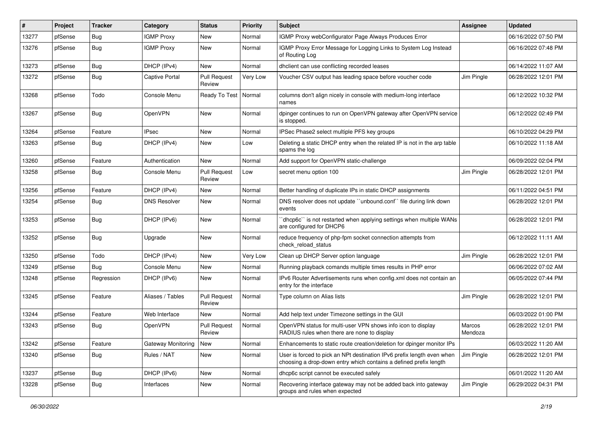| #     | Project | <b>Tracker</b> | Category              | <b>Status</b>                 | <b>Priority</b> | Subject                                                                                                                                     | <b>Assignee</b>   | <b>Updated</b>      |
|-------|---------|----------------|-----------------------|-------------------------------|-----------------|---------------------------------------------------------------------------------------------------------------------------------------------|-------------------|---------------------|
| 13277 | pfSense | <b>Bug</b>     | <b>IGMP Proxy</b>     | New                           | Normal          | IGMP Proxy webConfigurator Page Always Produces Error                                                                                       |                   | 06/16/2022 07:50 PM |
| 13276 | pfSense | <b>Bug</b>     | <b>IGMP Proxy</b>     | <b>New</b>                    | Normal          | IGMP Proxy Error Message for Logging Links to System Log Instead<br>of Routing Log                                                          |                   | 06/16/2022 07:48 PM |
| 13273 | pfSense | Bug            | DHCP (IPv4)           | <b>New</b>                    | Normal          | dhclient can use conflicting recorded leases                                                                                                |                   | 06/14/2022 11:07 AM |
| 13272 | pfSense | <b>Bug</b>     | <b>Captive Portal</b> | <b>Pull Request</b><br>Review | Very Low        | Voucher CSV output has leading space before voucher code                                                                                    | Jim Pingle        | 06/28/2022 12:01 PM |
| 13268 | pfSense | Todo           | Console Menu          | Ready To Test   Normal        |                 | columns don't align nicely in console with medium-long interface<br>names                                                                   |                   | 06/12/2022 10:32 PM |
| 13267 | pfSense | <b>Bug</b>     | OpenVPN               | New                           | Normal          | dpinger continues to run on OpenVPN gateway after OpenVPN service<br>is stopped.                                                            |                   | 06/12/2022 02:49 PM |
| 13264 | pfSense | Feature        | <b>IPsec</b>          | New                           | Normal          | IPSec Phase2 select multiple PFS key groups                                                                                                 |                   | 06/10/2022 04:29 PM |
| 13263 | pfSense | <b>Bug</b>     | DHCP (IPv4)           | New                           | Low             | Deleting a static DHCP entry when the related IP is not in the arp table<br>spams the log                                                   |                   | 06/10/2022 11:18 AM |
| 13260 | pfSense | Feature        | Authentication        | New                           | Normal          | Add support for OpenVPN static-challenge                                                                                                    |                   | 06/09/2022 02:04 PM |
| 13258 | pfSense | <b>Bug</b>     | Console Menu          | <b>Pull Request</b><br>Review | Low             | secret menu option 100                                                                                                                      | Jim Pingle        | 06/28/2022 12:01 PM |
| 13256 | pfSense | Feature        | DHCP (IPv4)           | <b>New</b>                    | Normal          | Better handling of duplicate IPs in static DHCP assignments                                                                                 |                   | 06/11/2022 04:51 PM |
| 13254 | pfSense | <b>Bug</b>     | <b>DNS Resolver</b>   | New                           | Normal          | DNS resolver does not update "unbound.conf" file during link down<br>events                                                                 |                   | 06/28/2022 12:01 PM |
| 13253 | pfSense | <b>Bug</b>     | DHCP (IPv6)           | New                           | Normal          | 'dhcp6c'' is not restarted when applying settings when multiple WANs<br>are configured for DHCP6                                            |                   | 06/28/2022 12:01 PM |
| 13252 | pfSense | <b>Bug</b>     | Upgrade               | New                           | Normal          | reduce frequency of php-fpm socket connection attempts from<br>check_reload_status                                                          |                   | 06/12/2022 11:11 AM |
| 13250 | pfSense | Todo           | DHCP (IPv4)           | New                           | Very Low        | Clean up DHCP Server option language                                                                                                        | Jim Pingle        | 06/28/2022 12:01 PM |
| 13249 | pfSense | <b>Bug</b>     | Console Menu          | New                           | Normal          | Running playback comands multiple times results in PHP error                                                                                |                   | 06/06/2022 07:02 AM |
| 13248 | pfSense | Regression     | DHCP (IPv6)           | New                           | Normal          | IPv6 Router Advertisements runs when config.xml does not contain an<br>entry for the interface                                              |                   | 06/05/2022 07:44 PM |
| 13245 | pfSense | Feature        | Aliases / Tables      | <b>Pull Request</b><br>Review | Normal          | Type column on Alias lists                                                                                                                  | Jim Pingle        | 06/28/2022 12:01 PM |
| 13244 | pfSense | Feature        | Web Interface         | <b>New</b>                    | Normal          | Add help text under Timezone settings in the GUI                                                                                            |                   | 06/03/2022 01:00 PM |
| 13243 | pfSense | <b>Bug</b>     | OpenVPN               | <b>Pull Request</b><br>Review | Normal          | OpenVPN status for multi-user VPN shows info icon to display<br>RADIUS rules when there are none to display                                 | Marcos<br>Mendoza | 06/28/2022 12:01 PM |
| 13242 | pfSense | Feature        | Gateway Monitoring    | New                           | Normal          | Enhancements to static route creation/deletion for dpinger monitor IPs                                                                      |                   | 06/03/2022 11:20 AM |
| 13240 | pfSense | <b>Bug</b>     | Rules / NAT           | New                           | Normal          | User is forced to pick an NPt destination IPv6 prefix length even when<br>choosing a drop-down entry which contains a defined prefix length | Jim Pingle        | 06/28/2022 12:01 PM |
| 13237 | pfSense | <b>Bug</b>     | DHCP (IPv6)           | New                           | Normal          | dhcp6c script cannot be executed safely                                                                                                     |                   | 06/01/2022 11:20 AM |
| 13228 | pfSense | <b>Bug</b>     | Interfaces            | New                           | Normal          | Recovering interface gateway may not be added back into gateway<br>groups and rules when expected                                           | Jim Pingle        | 06/29/2022 04:31 PM |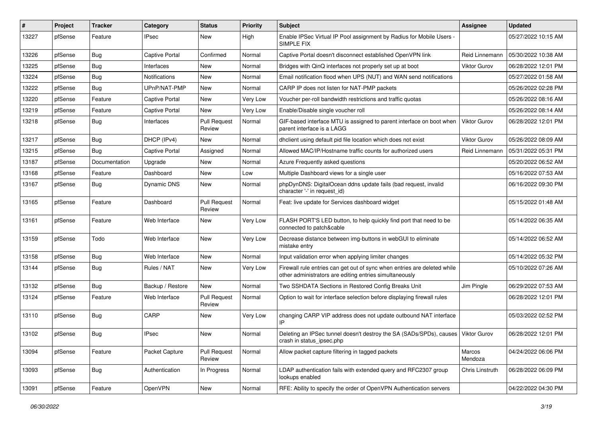| #     | Project | <b>Tracker</b> | Category              | <b>Status</b>                 | <b>Priority</b> | Subject                                                                                                                             | <b>Assignee</b>     | <b>Updated</b>      |
|-------|---------|----------------|-----------------------|-------------------------------|-----------------|-------------------------------------------------------------------------------------------------------------------------------------|---------------------|---------------------|
| 13227 | pfSense | Feature        | <b>IPsec</b>          | New                           | High            | Enable IPSec Virtual IP Pool assignment by Radius for Mobile Users -<br>SIMPLE FIX                                                  |                     | 05/27/2022 10:15 AM |
| 13226 | pfSense | Bug            | Captive Portal        | Confirmed                     | Normal          | Captive Portal doesn't disconnect established OpenVPN link                                                                          | Reid Linnemann      | 05/30/2022 10:38 AM |
| 13225 | pfSense | Bug            | Interfaces            | <b>New</b>                    | Normal          | Bridges with QinQ interfaces not properly set up at boot                                                                            | <b>Viktor Gurov</b> | 06/28/2022 12:01 PM |
| 13224 | pfSense | <b>Bug</b>     | Notifications         | New                           | Normal          | Email notification flood when UPS (NUT) and WAN send notifications                                                                  |                     | 05/27/2022 01:58 AM |
| 13222 | pfSense | <b>Bug</b>     | UPnP/NAT-PMP          | New                           | Normal          | CARP IP does not listen for NAT-PMP packets                                                                                         |                     | 05/26/2022 02:28 PM |
| 13220 | pfSense | Feature        | <b>Captive Portal</b> | New                           | Very Low        | Voucher per-roll bandwidth restrictions and traffic quotas                                                                          |                     | 05/26/2022 08:16 AM |
| 13219 | pfSense | Feature        | Captive Portal        | New                           | Very Low        | Enable/Disable single voucher roll                                                                                                  |                     | 05/26/2022 08:14 AM |
| 13218 | pfSense | <b>Bug</b>     | Interfaces            | <b>Pull Request</b><br>Review | Normal          | GIF-based interface MTU is assigned to parent interface on boot when<br>parent interface is a LAGG                                  | Viktor Gurov        | 06/28/2022 12:01 PM |
| 13217 | pfSense | Bug            | DHCP (IPv4)           | New                           | Normal          | dhclient using default pid file location which does not exist                                                                       | Viktor Gurov        | 05/26/2022 08:09 AM |
| 13215 | pfSense | <b>Bug</b>     | <b>Captive Portal</b> | Assigned                      | Normal          | Allowed MAC/IP/Hostname traffic counts for authorized users                                                                         | Reid Linnemann      | 05/31/2022 05:31 PM |
| 13187 | pfSense | Documentation  | Upgrade               | <b>New</b>                    | Normal          | Azure Frequently asked questions                                                                                                    |                     | 05/20/2022 06:52 AM |
| 13168 | pfSense | Feature        | Dashboard             | New                           | Low             | Multiple Dashboard views for a single user                                                                                          |                     | 05/16/2022 07:53 AM |
| 13167 | pfSense | <b>Bug</b>     | Dynamic DNS           | New                           | Normal          | phpDynDNS: DigitalOcean ddns update fails (bad request, invalid<br>character '-' in request id)                                     |                     | 06/16/2022 09:30 PM |
| 13165 | pfSense | Feature        | Dashboard             | <b>Pull Request</b><br>Review | Normal          | Feat: live update for Services dashboard widget                                                                                     |                     | 05/15/2022 01:48 AM |
| 13161 | pfSense | Feature        | Web Interface         | New                           | Very Low        | FLASH PORT'S LED button, to help quickly find port that need to be<br>connected to patch&cable                                      |                     | 05/14/2022 06:35 AM |
| 13159 | pfSense | Todo           | Web Interface         | New                           | Very Low        | Decrease distance between img-buttons in webGUI to eliminate<br>mistake entry                                                       |                     | 05/14/2022 06:52 AM |
| 13158 | pfSense | Bug            | Web Interface         | New                           | Normal          | Input validation error when applying limiter changes                                                                                |                     | 05/14/2022 05:32 PM |
| 13144 | pfSense | <b>Bug</b>     | Rules / NAT           | New                           | Very Low        | Firewall rule entries can get out of sync when entries are deleted while<br>other administrators are editing entries simultaneously |                     | 05/10/2022 07:26 AM |
| 13132 | pfSense | <b>Bug</b>     | Backup / Restore      | New                           | Normal          | Two SSHDATA Sections in Restored Config Breaks Unit                                                                                 | Jim Pingle          | 06/29/2022 07:53 AM |
| 13124 | pfSense | Feature        | Web Interface         | <b>Pull Request</b><br>Review | Normal          | Option to wait for interface selection before displaying firewall rules                                                             |                     | 06/28/2022 12:01 PM |
| 13110 | pfSense | Bug            | CARP                  | New                           | Very Low        | changing CARP VIP address does not update outbound NAT interface<br>IP                                                              |                     | 05/03/2022 02:52 PM |
| 13102 | pfSense | Bug            | <b>IPsec</b>          | New                           | Normal          | Deleting an IPSec tunnel doesn't destroy the SA (SADs/SPDs), causes   Viktor Gurov<br>crash in status_ipsec.php                     |                     | 06/28/2022 12:01 PM |
| 13094 | pfSense | Feature        | Packet Capture        | <b>Pull Request</b><br>Review | Normal          | Allow packet capture filtering in tagged packets                                                                                    | Marcos<br>Mendoza   | 04/24/2022 06:06 PM |
| 13093 | pfSense | Bug            | Authentication        | In Progress                   | Normal          | LDAP authentication fails with extended query and RFC2307 group<br>lookups enabled                                                  | Chris Linstruth     | 06/28/2022 06:09 PM |
| 13091 | pfSense | Feature        | OpenVPN               | New                           | Normal          | RFE: Ability to specify the order of OpenVPN Authentication servers                                                                 |                     | 04/22/2022 04:30 PM |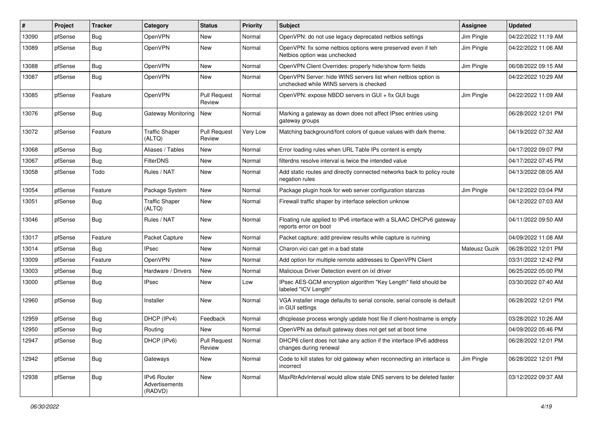| #     | Project | <b>Tracker</b> | Category                                 | <b>Status</b>                 | Priority | Subject                                                                                                  | <b>Assignee</b> | <b>Updated</b>      |
|-------|---------|----------------|------------------------------------------|-------------------------------|----------|----------------------------------------------------------------------------------------------------------|-----------------|---------------------|
| 13090 | pfSense | Bug            | OpenVPN                                  | New                           | Normal   | OpenVPN: do not use legacy deprecated netbios settings                                                   | Jim Pingle      | 04/22/2022 11:19 AM |
| 13089 | pfSense | <b>Bug</b>     | OpenVPN                                  | <b>New</b>                    | Normal   | OpenVPN: fix some netbios options were preserved even if teh<br>Netbios option was unchecked             | Jim Pingle      | 04/22/2022 11:06 AM |
| 13088 | pfSense | <b>Bug</b>     | OpenVPN                                  | <b>New</b>                    | Normal   | OpenVPN Client Overrides: properly hide/show form fields                                                 | Jim Pingle      | 06/08/2022 09:15 AM |
| 13087 | pfSense | <b>Bug</b>     | OpenVPN                                  | New                           | Normal   | OpenVPN Server: hide WINS servers list when netbios option is<br>unchecked while WINS servers is checked |                 | 04/22/2022 10:29 AM |
| 13085 | pfSense | Feature        | OpenVPN                                  | <b>Pull Request</b><br>Review | Normal   | OpenVPN: expose NBDD servers in GUI + fix GUI bugs                                                       | Jim Pingle      | 04/22/2022 11:09 AM |
| 13076 | pfSense | <b>Bug</b>     | Gateway Monitoring                       | New                           | Normal   | Marking a gateway as down does not affect IPsec entries using<br>gateway groups                          |                 | 06/28/2022 12:01 PM |
| 13072 | pfSense | Feature        | <b>Traffic Shaper</b><br>(ALTQ)          | <b>Pull Request</b><br>Review | Very Low | Matching background/font colors of queue values with dark theme.                                         |                 | 04/19/2022 07:32 AM |
| 13068 | pfSense | Bug            | Aliases / Tables                         | <b>New</b>                    | Normal   | Error loading rules when URL Table IPs content is empty                                                  |                 | 04/17/2022 09:07 PM |
| 13067 | pfSense | Bug            | <b>FilterDNS</b>                         | New                           | Normal   | filterdns resolve interval is twice the intended value                                                   |                 | 04/17/2022 07:45 PM |
| 13058 | pfSense | Todo           | Rules / NAT                              | New                           | Normal   | Add static routes and directly connected networks back to policy route<br>negation rules                 |                 | 04/13/2022 08:05 AM |
| 13054 | pfSense | Feature        | Package System                           | <b>New</b>                    | Normal   | Package plugin hook for web server configuration stanzas                                                 | Jim Pingle      | 04/12/2022 03:04 PM |
| 13051 | pfSense | Bug            | <b>Traffic Shaper</b><br>(ALTQ)          | New                           | Normal   | Firewall traffic shaper by interface selection unknow                                                    |                 | 04/12/2022 07:03 AM |
| 13046 | pfSense | <b>Bug</b>     | Rules / NAT                              | New                           | Normal   | Floating rule applied to IPv6 interface with a SLAAC DHCPv6 gateway<br>reports error on boot             |                 | 04/11/2022 09:50 AM |
| 13017 | pfSense | Feature        | Packet Capture                           | New                           | Normal   | Packet capture: add preview results while capture is running                                             |                 | 04/09/2022 11:08 AM |
| 13014 | pfSense | <b>Bug</b>     | <b>IPsec</b>                             | New                           | Normal   | Charon.vici can get in a bad state                                                                       | Mateusz Guzik   | 06/28/2022 12:01 PM |
| 13009 | pfSense | Feature        | OpenVPN                                  | New                           | Normal   | Add option for multiple remote addresses to OpenVPN Client                                               |                 | 03/31/2022 12:42 PM |
| 13003 | pfSense | <b>Bug</b>     | Hardware / Drivers                       | New                           | Normal   | Malicious Driver Detection event on ixl driver                                                           |                 | 06/25/2022 05:00 PM |
| 13000 | pfSense | <b>Bug</b>     | <b>IPsec</b>                             | New                           | Low      | IPsec AES-GCM encryption algorithm "Key Length" field should be<br>labeled "ICV Length"                  |                 | 03/30/2022 07:40 AM |
| 12960 | pfSense | Bug            | Installer                                | New                           | Normal   | VGA installer image defaults to serial console, serial console is default<br>in GUI settings             |                 | 06/28/2022 12:01 PM |
| 12959 | pfSense | Bug            | DHCP (IPv4)                              | Feedback                      | Normal   | dhcplease process wrongly update host file if client-hostname is empty                                   |                 | 03/28/2022 10:26 AM |
| 12950 | pfSense | <b>Bug</b>     | Routing                                  | <b>New</b>                    | Normal   | OpenVPN as default gateway does not get set at boot time                                                 |                 | 04/09/2022 05:46 PM |
| 12947 | pfSense | <b>Bug</b>     | DHCP (IPv6)                              | <b>Pull Request</b><br>Review | Normal   | DHCP6 client does not take any action if the interface IPv6 address<br>changes during renewal            |                 | 06/28/2022 12:01 PM |
| 12942 | pfSense | Bug            | Gateways                                 | New                           | Normal   | Code to kill states for old gateway when reconnecting an interface is<br>incorrect                       | Jim Pingle      | 06/28/2022 12:01 PM |
| 12938 | pfSense | <b>Bug</b>     | IPv6 Router<br>Advertisements<br>(RADVD) | New                           | Normal   | MaxRtrAdvInterval would allow stale DNS servers to be deleted faster                                     |                 | 03/12/2022 09:37 AM |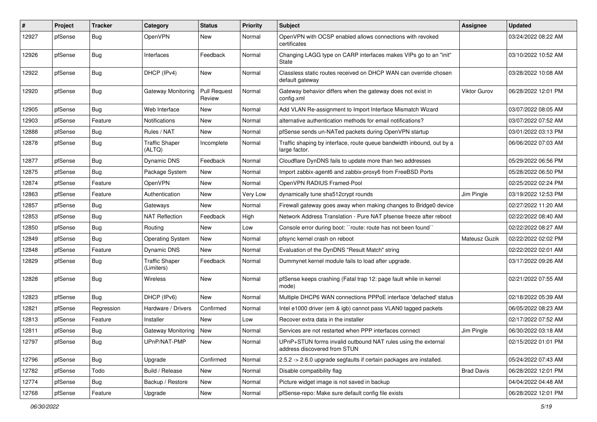| $\#$  | Project | <b>Tracker</b> | Category                            | <b>Status</b>                 | <b>Priority</b> | <b>Subject</b>                                                                                | <b>Assignee</b>   | <b>Updated</b>      |
|-------|---------|----------------|-------------------------------------|-------------------------------|-----------------|-----------------------------------------------------------------------------------------------|-------------------|---------------------|
| 12927 | pfSense | <b>Bug</b>     | OpenVPN                             | New                           | Normal          | OpenVPN with OCSP enabled allows connections with revoked<br>certificates                     |                   | 03/24/2022 08:22 AM |
| 12926 | pfSense | <b>Bug</b>     | Interfaces                          | Feedback                      | Normal          | Changing LAGG type on CARP interfaces makes VIPs go to an "init"<br>State                     |                   | 03/10/2022 10:52 AM |
| 12922 | pfSense | <b>Bug</b>     | DHCP (IPv4)                         | New                           | Normal          | Classless static routes received on DHCP WAN can override chosen<br>default gateway           |                   | 03/28/2022 10:08 AM |
| 12920 | pfSense | <b>Bug</b>     | Gateway Monitoring                  | <b>Pull Request</b><br>Review | Normal          | Gateway behavior differs when the gateway does not exist in<br>config.xml                     | Viktor Gurov      | 06/28/2022 12:01 PM |
| 12905 | pfSense | Bug            | Web Interface                       | New                           | Normal          | Add VLAN Re-assignment to Import Interface Mismatch Wizard                                    |                   | 03/07/2022 08:05 AM |
| 12903 | pfSense | Feature        | Notifications                       | New                           | Normal          | alternative authentication methods for email notifications?                                   |                   | 03/07/2022 07:52 AM |
| 12888 | pfSense | <b>Bug</b>     | Rules / NAT                         | New                           | Normal          | pfSense sends un-NATed packets during OpenVPN startup                                         |                   | 03/01/2022 03:13 PM |
| 12878 | pfSense | <b>Bug</b>     | <b>Traffic Shaper</b><br>(ALTQ)     | Incomplete                    | Normal          | Traffic shaping by interface, route queue bandwidth inbound, out by a<br>large factor.        |                   | 06/06/2022 07:03 AM |
| 12877 | pfSense | Bug            | Dynamic DNS                         | Feedback                      | Normal          | Cloudflare DynDNS fails to update more than two addresses                                     |                   | 05/29/2022 06:56 PM |
| 12875 | pfSense | <b>Bug</b>     | Package System                      | New                           | Normal          | Import zabbix-agent6 and zabbix-proxy6 from FreeBSD Ports                                     |                   | 05/28/2022 06:50 PM |
| 12874 | pfSense | Feature        | OpenVPN                             | <b>New</b>                    | Normal          | OpenVPN RADIUS Framed-Pool                                                                    |                   | 02/25/2022 02:24 PM |
| 12863 | pfSense | Feature        | Authentication                      | New                           | Very Low        | dynamically tune sha512crypt rounds                                                           | Jim Pingle        | 03/19/2022 12:53 PM |
| 12857 | pfSense | <b>Bug</b>     | Gateways                            | New                           | Normal          | Firewall gateway goes away when making changes to Bridge0 device                              |                   | 02/27/2022 11:20 AM |
| 12853 | pfSense | Bug            | <b>NAT Reflection</b>               | Feedback                      | High            | Network Address Translation - Pure NAT pfsense freeze after reboot                            |                   | 02/22/2022 08:40 AM |
| 12850 | pfSense | <b>Bug</b>     | Routing                             | <b>New</b>                    | Low             | Console error during boot: "route: route has not been found"                                  |                   | 02/22/2022 08:27 AM |
| 12849 | pfSense | Bug            | <b>Operating System</b>             | New                           | Normal          | pfsync kernel crash on reboot                                                                 | Mateusz Guzik     | 02/22/2022 02:02 PM |
| 12848 | pfSense | Feature        | Dynamic DNS                         | New                           | Normal          | Evaluation of the DynDNS "Result Match" string                                                |                   | 02/22/2022 02:01 AM |
| 12829 | pfSense | Bug            | <b>Traffic Shaper</b><br>(Limiters) | Feedback                      | Normal          | Dummynet kernel module fails to load after upgrade.                                           |                   | 03/17/2022 09:26 AM |
| 12828 | pfSense | <b>Bug</b>     | <b>Wireless</b>                     | New                           | Normal          | pfSense keeps crashing (Fatal trap 12: page fault while in kernel<br>mode)                    |                   | 02/21/2022 07:55 AM |
| 12823 | pfSense | Bug            | DHCP (IPv6)                         | New                           | Normal          | Multiple DHCP6 WAN connections PPPoE interface 'defached' status                              |                   | 02/18/2022 05:39 AM |
| 12821 | pfSense | Regression     | Hardware / Drivers                  | Confirmed                     | Normal          | Intel e1000 driver (em & igb) cannot pass VLAN0 tagged packets                                |                   | 06/05/2022 08:23 AM |
| 12813 | pfSense | Feature        | Installer                           | <b>New</b>                    | Low             | Recover extra data in the installer                                                           |                   | 02/17/2022 07:52 AM |
| 12811 | pfSense | <b>Bug</b>     | Gateway Monitoring                  | New                           | Normal          | Services are not restarted when PPP interfaces connect                                        | Jim Pingle        | 06/30/2022 03:18 AM |
| 12797 | pfSense | Bug            | UPnP/NAT-PMP                        | New                           | Normal          | UPnP+STUN forms invalid outbound NAT rules using the external<br>address discovered from STUN |                   | 02/15/2022 01:01 PM |
| 12796 | pfSense | Bug            | Upgrade                             | Confirmed                     | Normal          | 2.5.2 -> 2.6.0 upgrade segfaults if certain packages are installed.                           |                   | 05/24/2022 07:43 AM |
| 12782 | pfSense | Todo           | Build / Release                     | New                           | Normal          | Disable compatibility flag                                                                    | <b>Brad Davis</b> | 06/28/2022 12:01 PM |
| 12774 | pfSense | <b>Bug</b>     | Backup / Restore                    | New                           | Normal          | Picture widget image is not saved in backup                                                   |                   | 04/04/2022 04:48 AM |
| 12768 | pfSense | Feature        | Upgrade                             | New                           | Normal          | pfSense-repo: Make sure default config file exists                                            |                   | 06/28/2022 12:01 PM |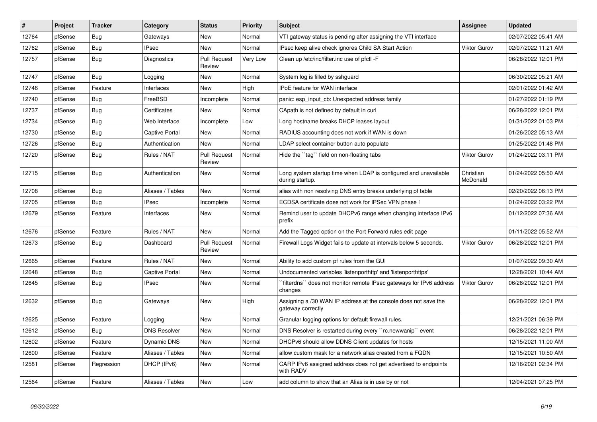| $\sharp$ | Project | <b>Tracker</b> | Category              | <b>Status</b>                 | <b>Priority</b> | <b>Subject</b>                                                                       | <b>Assignee</b>       | <b>Updated</b>      |
|----------|---------|----------------|-----------------------|-------------------------------|-----------------|--------------------------------------------------------------------------------------|-----------------------|---------------------|
| 12764    | pfSense | <b>Bug</b>     | Gateways              | <b>New</b>                    | Normal          | VTI gateway status is pending after assigning the VTI interface                      |                       | 02/07/2022 05:41 AM |
| 12762    | pfSense | <b>Bug</b>     | <b>IPsec</b>          | <b>New</b>                    | Normal          | IPsec keep alive check ignores Child SA Start Action                                 | Viktor Gurov          | 02/07/2022 11:21 AM |
| 12757    | pfSense | <b>Bug</b>     | Diagnostics           | <b>Pull Request</b><br>Review | Very Low        | Clean up /etc/inc/filter.inc use of pfctl -F                                         |                       | 06/28/2022 12:01 PM |
| 12747    | pfSense | <b>Bug</b>     | Logging               | <b>New</b>                    | Normal          | System log is filled by sshguard                                                     |                       | 06/30/2022 05:21 AM |
| 12746    | pfSense | Feature        | Interfaces            | New                           | High            | <b>IPoE</b> feature for WAN interface                                                |                       | 02/01/2022 01:42 AM |
| 12740    | pfSense | <b>Bug</b>     | FreeBSD               | Incomplete                    | Normal          | panic: esp input cb: Unexpected address family                                       |                       | 01/27/2022 01:19 PM |
| 12737    | pfSense | <b>Bug</b>     | Certificates          | <b>New</b>                    | Normal          | CApath is not defined by default in curl                                             |                       | 06/28/2022 12:01 PM |
| 12734    | pfSense | <b>Bug</b>     | Web Interface         | Incomplete                    | Low             | Long hostname breaks DHCP leases layout                                              |                       | 01/31/2022 01:03 PM |
| 12730    | pfSense | Bug            | <b>Captive Portal</b> | New                           | Normal          | RADIUS accounting does not work if WAN is down                                       |                       | 01/26/2022 05:13 AM |
| 12726    | pfSense | Bug            | Authentication        | <b>New</b>                    | Normal          | LDAP select container button auto populate                                           |                       | 01/25/2022 01:48 PM |
| 12720    | pfSense | <b>Bug</b>     | Rules / NAT           | <b>Pull Request</b><br>Review | Normal          | Hide the "tag" field on non-floating tabs                                            | <b>Viktor Gurov</b>   | 01/24/2022 03:11 PM |
| 12715    | pfSense | Bug            | Authentication        | New                           | Normal          | Long system startup time when LDAP is configured and unavailable<br>during startup.  | Christian<br>McDonald | 01/24/2022 05:50 AM |
| 12708    | pfSense | <b>Bug</b>     | Aliases / Tables      | <b>New</b>                    | Normal          | alias with non resolving DNS entry breaks underlying pf table                        |                       | 02/20/2022 06:13 PM |
| 12705    | pfSense | <b>Bug</b>     | IPsec                 | Incomplete                    | Normal          | ECDSA certificate does not work for IPSec VPN phase 1                                |                       | 01/24/2022 03:22 PM |
| 12679    | pfSense | Feature        | Interfaces            | New                           | Normal          | Remind user to update DHCPv6 range when changing interface IPv6<br>prefix            |                       | 01/12/2022 07:36 AM |
| 12676    | pfSense | Feature        | Rules / NAT           | New                           | Normal          | Add the Tagged option on the Port Forward rules edit page                            |                       | 01/11/2022 05:52 AM |
| 12673    | pfSense | Bug            | Dashboard             | <b>Pull Request</b><br>Review | Normal          | Firewall Logs Widget fails to update at intervals below 5 seconds.                   | Viktor Gurov          | 06/28/2022 12:01 PM |
| 12665    | pfSense | Feature        | Rules / NAT           | <b>New</b>                    | Normal          | Ability to add custom pf rules from the GUI                                          |                       | 01/07/2022 09:30 AM |
| 12648    | pfSense | <b>Bug</b>     | Captive Portal        | <b>New</b>                    | Normal          | Undocumented variables 'listenporthttp' and 'listenporthttps'                        |                       | 12/28/2021 10:44 AM |
| 12645    | pfSense | Bug            | <b>IPsec</b>          | <b>New</b>                    | Normal          | `filterdns`` does not monitor remote IPsec gateways for IPv6 address<br>changes      | <b>Viktor Gurov</b>   | 06/28/2022 12:01 PM |
| 12632    | pfSense | <b>Bug</b>     | Gateways              | New                           | High            | Assigning a /30 WAN IP address at the console does not save the<br>gateway correctly |                       | 06/28/2022 12:01 PM |
| 12625    | pfSense | Feature        | Logging               | New                           | Normal          | Granular logging options for default firewall rules.                                 |                       | 12/21/2021 06:39 PM |
| 12612    | pfSense | Bug            | <b>DNS Resolver</b>   | New                           | Normal          | DNS Resolver is restarted during every "rc.newwanip" event                           |                       | 06/28/2022 12:01 PM |
| 12602    | pfSense | Feature        | Dynamic DNS           | New                           | Normal          | DHCPv6 should allow DDNS Client updates for hosts                                    |                       | 12/15/2021 11:00 AM |
| 12600    | pfSense | Feature        | Aliases / Tables      | New                           | Normal          | allow custom mask for a network alias created from a FQDN                            |                       | 12/15/2021 10:50 AM |
| 12581    | pfSense | Regression     | DHCP (IPv6)           | New                           | Normal          | CARP IPv6 assigned address does not get advertised to endpoints<br>with RADV         |                       | 12/16/2021 02:34 PM |
| 12564    | pfSense | Feature        | Aliases / Tables      | New                           | Low             | add column to show that an Alias is in use by or not                                 |                       | 12/04/2021 07:25 PM |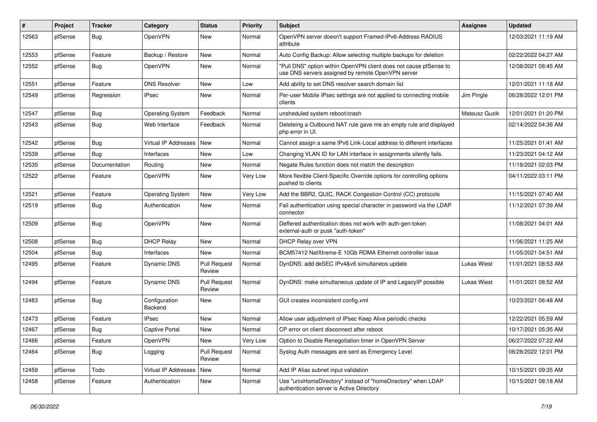| $\#$  | Project | <b>Tracker</b> | Category                   | <b>Status</b>                 | <b>Priority</b> | Subject                                                                                                                | <b>Assignee</b>    | <b>Updated</b>      |
|-------|---------|----------------|----------------------------|-------------------------------|-----------------|------------------------------------------------------------------------------------------------------------------------|--------------------|---------------------|
| 12563 | pfSense | <b>Bug</b>     | OpenVPN                    | New                           | Normal          | OpenVPN server doesn't support Framed-IPv6-Address RADIUS<br>attribute                                                 |                    | 12/03/2021 11:19 AM |
| 12553 | pfSense | Feature        | Backup / Restore           | New                           | Normal          | Auto Config Backup: Allow selecting multiple backups for deletion                                                      |                    | 02/22/2022 04:27 AM |
| 12552 | pfSense | Bug            | OpenVPN                    | <b>New</b>                    | Normal          | "Pull DNS" option within OpenVPN client does not cause pfSense to<br>use DNS servers assigned by remote OpenVPN server |                    | 12/08/2021 08:45 AM |
| 12551 | pfSense | Feature        | <b>DNS Resolver</b>        | New                           | Low             | Add ability to set DNS resolver search domain list                                                                     |                    | 12/01/2021 11:18 AM |
| 12549 | pfSense | Regression     | <b>IPsec</b>               | New                           | Normal          | Per-user Mobile IPsec settings are not applied to connecting mobile<br>clients                                         | Jim Pingle         | 06/28/2022 12:01 PM |
| 12547 | pfSense | Bug            | <b>Operating System</b>    | Feedback                      | Normal          | unsheduled system reboot/crash                                                                                         | Mateusz Guzik      | 12/01/2021 01:20 PM |
| 12543 | pfSense | <b>Bug</b>     | Web Interface              | Feedback                      | Normal          | Deleteing a Outbound NAT rule gave me an empty rule and displayed<br>php error in UI.                                  |                    | 02/14/2022 04:36 AM |
| 12542 | pfSense | Bug            | Virtual IP Addresses   New |                               | Normal          | Cannot assign a same IPv6 Link-Local address to different interfaces                                                   |                    | 11/25/2021 01:41 AM |
| 12539 | pfSense | Bug            | Interfaces                 | <b>New</b>                    | Low             | Changing VLAN ID for LAN interface in assignments silently fails.                                                      |                    | 11/23/2021 04:12 AM |
| 12535 | pfSense | Documentation  | Routing                    | New                           | Normal          | Negate Rules function does not match the description                                                                   |                    | 11/19/2021 02:03 PM |
| 12522 | pfSense | Feature        | OpenVPN                    | New                           | Very Low        | More flexible Client-Specific Override options for controlling options<br>pushed to clients                            |                    | 04/11/2022 03:11 PM |
| 12521 | pfSense | Feature        | <b>Operating System</b>    | New                           | Very Low        | Add the BBR2, QUIC, RACK Congestion Control (CC) protocols                                                             |                    | 11/15/2021 07:40 AM |
| 12519 | pfSense | <b>Bug</b>     | Authentication             | New                           | Normal          | Fail authentication using special character in password via the LDAP<br>connector                                      |                    | 11/12/2021 07:39 AM |
| 12509 | pfSense | <b>Bug</b>     | OpenVPN                    | New                           | Normal          | Deffered authentication does not work with auth-gen-token<br>external-auth or pusk "auth-token"                        |                    | 11/08/2021 04:01 AM |
| 12508 | pfSense | Bug            | <b>DHCP Relay</b>          | New                           | Normal          | DHCP Relay over VPN                                                                                                    |                    | 11/06/2021 11:25 AM |
| 12504 | pfSense | <b>Bug</b>     | Interfaces                 | New                           | Normal          | BCM57412 NetXtreme-E 10Gb RDMA Ethernet controller issue                                                               |                    | 11/05/2021 04:51 AM |
| 12495 | pfSense | Feature        | Dynamic DNS                | <b>Pull Request</b><br>Review | Normal          | DynDNS: add deSEC IPv4&v6 simultaneos update                                                                           | <b>Lukas Wiest</b> | 11/01/2021 08:53 AM |
| 12494 | pfSense | Feature        | Dynamic DNS                | <b>Pull Request</b><br>Review | Normal          | DynDNS: make simultaneous update of IP and LegacylP possible                                                           | <b>Lukas Wiest</b> | 11/01/2021 08:52 AM |
| 12483 | pfSense | <b>Bug</b>     | Configuration<br>Backend   | New                           | Normal          | GUI creates inconsistent config.xml                                                                                    |                    | 10/23/2021 06:48 AM |
| 12473 | pfSense | Feature        | <b>IPsec</b>               | New                           | Normal          | Allow user adjustment of IPsec Keep Alive periodic checks                                                              |                    | 12/22/2021 05:59 AM |
| 12467 | pfSense | <b>Bug</b>     | <b>Captive Portal</b>      | <b>New</b>                    | Normal          | CP error on client disconnect after reboot                                                                             |                    | 10/17/2021 05:35 AM |
| 12466 | pfSense | Feature        | OpenVPN                    | New                           | Very Low        | Option to Disable Renegotiation timer in OpenVPN Server                                                                |                    | 06/27/2022 07:22 AM |
| 12464 | pfSense | <b>Bug</b>     | Logging                    | <b>Pull Request</b><br>Review | Normal          | Syslog Auth messages are sent as Emergency Level                                                                       |                    | 06/28/2022 12:01 PM |
| 12459 | pfSense | Todo           | Virtual IP Addresses       | New                           | Normal          | Add IP Alias subnet input validation                                                                                   |                    | 10/15/2021 09:35 AM |
| 12458 | pfSense | Feature        | Authentication             | New                           | Normal          | Use "unixHomeDirectory" instead of "homeDirectory" when LDAP<br>authentication server is Active Directory              |                    | 10/15/2021 08:18 AM |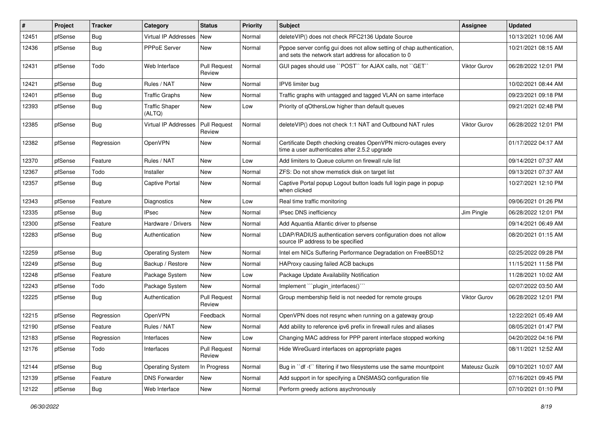| #     | Project | <b>Tracker</b> | Category                        | <b>Status</b>                 | Priority | Subject                                                                                                                          | <b>Assignee</b> | <b>Updated</b>      |
|-------|---------|----------------|---------------------------------|-------------------------------|----------|----------------------------------------------------------------------------------------------------------------------------------|-----------------|---------------------|
| 12451 | pfSense | <b>Bug</b>     | Virtual IP Addresses            | New                           | Normal   | deleteVIP() does not check RFC2136 Update Source                                                                                 |                 | 10/13/2021 10:06 AM |
| 12436 | pfSense | <b>Bug</b>     | <b>PPPoE Server</b>             | New                           | Normal   | Pppoe server config gui does not allow setting of chap authentication,<br>and sets the network start address for allocation to 0 |                 | 10/21/2021 08:15 AM |
| 12431 | pfSense | Todo           | Web Interface                   | <b>Pull Request</b><br>Review | Normal   | GUI pages should use "POST" for AJAX calls, not "GET"                                                                            | Viktor Gurov    | 06/28/2022 12:01 PM |
| 12421 | pfSense | Bug            | Rules / NAT                     | New                           | Normal   | IPV6 limiter bug                                                                                                                 |                 | 10/02/2021 08:44 AM |
| 12401 | pfSense | <b>Bug</b>     | <b>Traffic Graphs</b>           | New                           | Normal   | Traffic graphs with untagged and tagged VLAN on same interface                                                                   |                 | 09/23/2021 09:18 PM |
| 12393 | pfSense | <b>Bug</b>     | <b>Traffic Shaper</b><br>(ALTQ) | New                           | Low      | Priority of qOthersLow higher than default queues                                                                                |                 | 09/21/2021 02:48 PM |
| 12385 | pfSense | Bug            | Virtual IP Addresses            | <b>Pull Request</b><br>Review | Normal   | deleteVIP() does not check 1:1 NAT and Outbound NAT rules                                                                        | Viktor Gurov    | 06/28/2022 12:01 PM |
| 12382 | pfSense | Regression     | OpenVPN                         | New                           | Normal   | Certificate Depth checking creates OpenVPN micro-outages every<br>time a user authenticates after 2.5.2 upgrade                  |                 | 01/17/2022 04:17 AM |
| 12370 | pfSense | Feature        | Rules / NAT                     | New                           | Low      | Add limiters to Queue column on firewall rule list                                                                               |                 | 09/14/2021 07:37 AM |
| 12367 | pfSense | Todo           | Installer                       | New                           | Normal   | ZFS: Do not show memstick disk on target list                                                                                    |                 | 09/13/2021 07:37 AM |
| 12357 | pfSense | <b>Bug</b>     | <b>Captive Portal</b>           | New                           | Normal   | Captive Portal popup Logout button loads full login page in popup<br>when clicked                                                |                 | 10/27/2021 12:10 PM |
| 12343 | pfSense | Feature        | <b>Diagnostics</b>              | New                           | Low      | Real time traffic monitoring                                                                                                     |                 | 09/06/2021 01:26 PM |
| 12335 | pfSense | Bug            | <b>IPsec</b>                    | <b>New</b>                    | Normal   | IPsec DNS inefficiency                                                                                                           | Jim Pingle      | 06/28/2022 12:01 PM |
| 12300 | pfSense | Feature        | Hardware / Drivers              | New                           | Normal   | Add Aquantia Atlantic driver to pfsense                                                                                          |                 | 09/14/2021 06:49 AM |
| 12283 | pfSense | <b>Bug</b>     | Authentication                  | <b>New</b>                    | Normal   | LDAP/RADIUS authentication servers configuration does not allow<br>source IP address to be specified                             |                 | 08/20/2021 01:15 AM |
| 12259 | pfSense | Bug            | <b>Operating System</b>         | New                           | Normal   | Intel em NICs Suffering Performance Degradation on FreeBSD12                                                                     |                 | 02/25/2022 09:28 PM |
| 12249 | pfSense | Bug            | Backup / Restore                | New                           | Normal   | HAProxy causing failed ACB backups                                                                                               |                 | 11/15/2021 11:58 PM |
| 12248 | pfSense | Feature        | Package System                  | <b>New</b>                    | Low      | Package Update Availability Notification                                                                                         |                 | 11/28/2021 10:02 AM |
| 12243 | pfSense | Todo           | Package System                  | New                           | Normal   | Implement "``plugin_interfaces()`"                                                                                               |                 | 02/07/2022 03:50 AM |
| 12225 | pfSense | <b>Bug</b>     | Authentication                  | <b>Pull Request</b><br>Review | Normal   | Group membership field is not needed for remote groups                                                                           | Viktor Gurov    | 06/28/2022 12:01 PM |
| 12215 | pfSense | Regression     | OpenVPN                         | Feedback                      | Normal   | OpenVPN does not resync when running on a gateway group                                                                          |                 | 12/22/2021 05:49 AM |
| 12190 | pfSense | Feature        | Rules / NAT                     | New                           | Normal   | Add ability to reference ipv6 prefix in firewall rules and aliases                                                               |                 | 08/05/2021 01:47 PM |
| 12183 | pfSense | Regression     | Interfaces                      | New                           | Low      | Changing MAC address for PPP parent interface stopped working                                                                    |                 | 04/20/2022 04:16 PM |
| 12176 | pfSense | Todo           | Interfaces                      | <b>Pull Request</b><br>Review | Normal   | Hide WireGuard interfaces on appropriate pages                                                                                   |                 | 08/11/2021 12:52 AM |
| 12144 | pfSense | Bug            | <b>Operating System</b>         | In Progress                   | Normal   | Bug in "df -t" filtering if two filesystems use the same mountpoint                                                              | Mateusz Guzik   | 09/10/2021 10:07 AM |
| 12139 | pfSense | Feature        | <b>DNS Forwarder</b>            | New                           | Normal   | Add support in for specifying a DNSMASQ configuration file                                                                       |                 | 07/16/2021 09:45 PM |
| 12122 | pfSense | Bug            | Web Interface                   | New                           | Normal   | Perform greedy actions asychronously                                                                                             |                 | 07/10/2021 01:10 PM |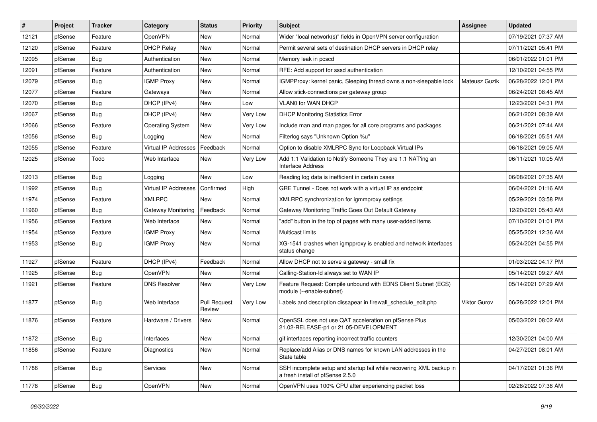| #     | Project | <b>Tracker</b> | Category                | <b>Status</b>                 | <b>Priority</b> | Subject                                                                                                  | <b>Assignee</b> | <b>Updated</b>      |
|-------|---------|----------------|-------------------------|-------------------------------|-----------------|----------------------------------------------------------------------------------------------------------|-----------------|---------------------|
| 12121 | pfSense | Feature        | OpenVPN                 | New                           | Normal          | Wider "local network(s)" fields in OpenVPN server configuration                                          |                 | 07/19/2021 07:37 AM |
| 12120 | pfSense | Feature        | <b>DHCP Relay</b>       | New                           | Normal          | Permit several sets of destination DHCP servers in DHCP relay                                            |                 | 07/11/2021 05:41 PM |
| 12095 | pfSense | <b>Bug</b>     | Authentication          | New                           | Normal          | Memory leak in pcscd                                                                                     |                 | 06/01/2022 01:01 PM |
| 12091 | pfSense | Feature        | Authentication          | New                           | Normal          | RFE: Add support for sssd authentication                                                                 |                 | 12/10/2021 04:55 PM |
| 12079 | pfSense | <b>Bug</b>     | <b>IGMP Proxy</b>       | New                           | Normal          | IGMPProxy: kernel panic, Sleeping thread owns a non-sleepable lock                                       | Mateusz Guzik   | 06/28/2022 12:01 PM |
| 12077 | pfSense | Feature        | Gateways                | New                           | Normal          | Allow stick-connections per gateway group                                                                |                 | 06/24/2021 08:45 AM |
| 12070 | pfSense | Bug            | DHCP (IPv4)             | New                           | Low             | <b>VLAN0 for WAN DHCP</b>                                                                                |                 | 12/23/2021 04:31 PM |
| 12067 | pfSense | <b>Bug</b>     | DHCP (IPv4)             | New                           | Very Low        | <b>DHCP Monitoring Statistics Error</b>                                                                  |                 | 06/21/2021 08:39 AM |
| 12066 | pfSense | Feature        | <b>Operating System</b> | New                           | Very Low        | Include man and man pages for all core programs and packages                                             |                 | 06/21/2021 07:44 AM |
| 12056 | pfSense | <b>Bug</b>     | Logging                 | New                           | Normal          | Filterlog says "Unknown Option %u"                                                                       |                 | 06/18/2021 05:51 AM |
| 12055 | pfSense | Feature        | Virtual IP Addresses    | Feedback                      | Normal          | Option to disable XMLRPC Sync for Loopback Virtual IPs                                                   |                 | 06/18/2021 09:05 AM |
| 12025 | pfSense | Todo           | Web Interface           | New                           | Very Low        | Add 1:1 Validation to Notify Someone They are 1:1 NAT'ing an<br><b>Interface Address</b>                 |                 | 06/11/2021 10:05 AM |
| 12013 | pfSense | <b>Bug</b>     | Logging                 | New                           | Low             | Reading log data is inefficient in certain cases                                                         |                 | 06/08/2021 07:35 AM |
| 11992 | pfSense | <b>Bug</b>     | Virtual IP Addresses    | Confirmed                     | High            | GRE Tunnel - Does not work with a virtual IP as endpoint                                                 |                 | 06/04/2021 01:16 AM |
| 11974 | pfSense | Feature        | <b>XMLRPC</b>           | <b>New</b>                    | Normal          | XMLRPC synchronization for igmmproxy settings                                                            |                 | 05/29/2021 03:58 PM |
| 11960 | pfSense | <b>Bug</b>     | Gateway Monitoring      | Feedback                      | Normal          | Gateway Monitoring Traffic Goes Out Default Gateway                                                      |                 | 12/20/2021 05:43 AM |
| 11956 | pfSense | Feature        | Web Interface           | New                           | Normal          | "add" button in the top of pages with many user-added items                                              |                 | 07/10/2021 01:01 PM |
| 11954 | pfSense | Feature        | <b>IGMP Proxy</b>       | New                           | Normal          | Multicast limits                                                                                         |                 | 05/25/2021 12:36 AM |
| 11953 | pfSense | <b>Bug</b>     | <b>IGMP Proxy</b>       | New                           | Normal          | XG-1541 crashes when igmpproxy is enabled and network interfaces<br>status change                        |                 | 05/24/2021 04:55 PM |
| 11927 | pfSense | Feature        | DHCP (IPv4)             | Feedback                      | Normal          | Allow DHCP not to serve a gateway - small fix                                                            |                 | 01/03/2022 04:17 PM |
| 11925 | pfSense | <b>Bug</b>     | OpenVPN                 | <b>New</b>                    | Normal          | Calling-Station-Id always set to WAN IP                                                                  |                 | 05/14/2021 09:27 AM |
| 11921 | pfSense | Feature        | <b>DNS Resolver</b>     | New                           | Very Low        | Feature Request: Compile unbound with EDNS Client Subnet (ECS)<br>module (--enable-subnet)               |                 | 05/14/2021 07:29 AM |
| 11877 | pfSense | <b>Bug</b>     | Web Interface           | <b>Pull Request</b><br>Review | Very Low        | Labels and description dissapear in firewall_schedule_edit.php                                           | Viktor Gurov    | 06/28/2022 12:01 PM |
| 11876 | pfSense | Feature        | Hardware / Drivers      | New                           | Normal          | OpenSSL does not use QAT acceleration on pfSense Plus<br>21.02-RELEASE-p1 or 21.05-DEVELOPMENT           |                 | 05/03/2021 08:02 AM |
| 11872 | pfSense | Bug            | Interfaces              | New                           | Normal          | gif interfaces reporting incorrect traffic counters                                                      |                 | 12/30/2021 04:00 AM |
| 11856 | pfSense | Feature        | Diagnostics             | New                           | Normal          | Replace/add Alias or DNS names for known LAN addresses in the<br>State table                             |                 | 04/27/2021 08:01 AM |
| 11786 | pfSense | <b>Bug</b>     | Services                | New                           | Normal          | SSH incomplete setup and startup fail while recovering XML backup in<br>a fresh install of pfSense 2.5.0 |                 | 04/17/2021 01:36 PM |
| 11778 | pfSense | <b>Bug</b>     | OpenVPN                 | New                           | Normal          | OpenVPN uses 100% CPU after experiencing packet loss                                                     |                 | 02/28/2022 07:38 AM |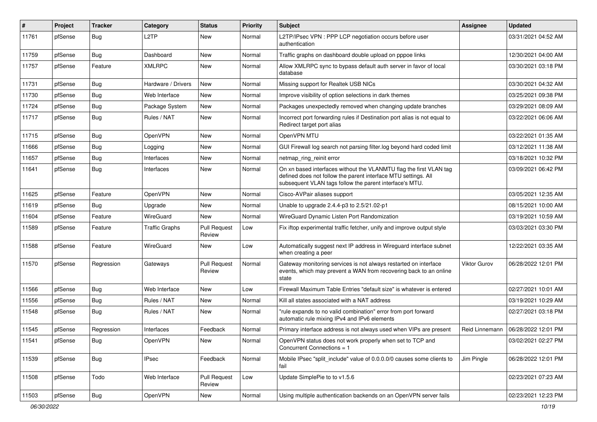| #     | Project | <b>Tracker</b> | Category              | <b>Status</b>                 | <b>Priority</b> | Subject                                                                                                                                                                                         | <b>Assignee</b>     | <b>Updated</b>      |
|-------|---------|----------------|-----------------------|-------------------------------|-----------------|-------------------------------------------------------------------------------------------------------------------------------------------------------------------------------------------------|---------------------|---------------------|
| 11761 | pfSense | <b>Bug</b>     | L <sub>2</sub> TP     | New                           | Normal          | L2TP/IPsec VPN : PPP LCP negotiation occurs before user<br>authentication                                                                                                                       |                     | 03/31/2021 04:52 AM |
| 11759 | pfSense | <b>Bug</b>     | Dashboard             | New                           | Normal          | Traffic graphs on dashboard double upload on pppoe links                                                                                                                                        |                     | 12/30/2021 04:00 AM |
| 11757 | pfSense | Feature        | <b>XMLRPC</b>         | New                           | Normal          | Allow XMLRPC sync to bypass default auth server in favor of local<br>database                                                                                                                   |                     | 03/30/2021 03:18 PM |
| 11731 | pfSense | Bug            | Hardware / Drivers    | New                           | Normal          | Missing support for Realtek USB NICs                                                                                                                                                            |                     | 03/30/2021 04:32 AM |
| 11730 | pfSense | <b>Bug</b>     | Web Interface         | New                           | Normal          | Improve visibility of option selections in dark themes                                                                                                                                          |                     | 03/25/2021 09:38 PM |
| 11724 | pfSense | Bug            | Package System        | <b>New</b>                    | Normal          | Packages unexpectedly removed when changing update branches                                                                                                                                     |                     | 03/29/2021 08:09 AM |
| 11717 | pfSense | <b>Bug</b>     | Rules / NAT           | New                           | Normal          | Incorrect port forwarding rules if Destination port alias is not equal to<br>Redirect target port alias                                                                                         |                     | 03/22/2021 06:06 AM |
| 11715 | pfSense | <b>Bug</b>     | OpenVPN               | New                           | Normal          | OpenVPN MTU                                                                                                                                                                                     |                     | 03/22/2021 01:35 AM |
| 11666 | pfSense | <b>Bug</b>     | Logging               | New                           | Normal          | GUI Firewall log search not parsing filter.log beyond hard coded limit                                                                                                                          |                     | 03/12/2021 11:38 AM |
| 11657 | pfSense | Bug            | Interfaces            | New                           | Normal          | netmap_ring_reinit error                                                                                                                                                                        |                     | 03/18/2021 10:32 PM |
| 11641 | pfSense | <b>Bug</b>     | Interfaces            | New                           | Normal          | On xn based interfaces without the VLANMTU flag the first VLAN tag<br>defined does not follow the parent interface MTU settings. All<br>subsequent VLAN tags follow the parent interface's MTU. |                     | 03/09/2021 06:42 PM |
| 11625 | pfSense | Feature        | OpenVPN               | <b>New</b>                    | Normal          | Cisco-AVPair aliases support                                                                                                                                                                    |                     | 03/05/2021 12:35 AM |
| 11619 | pfSense | <b>Bug</b>     | Upgrade               | New                           | Normal          | Unable to upgrade 2.4.4-p3 to 2.5/21.02-p1                                                                                                                                                      |                     | 08/15/2021 10:00 AM |
| 11604 | pfSense | Feature        | WireGuard             | <b>New</b>                    | Normal          | WireGuard Dynamic Listen Port Randomization                                                                                                                                                     |                     | 03/19/2021 10:59 AM |
| 11589 | pfSense | Feature        | <b>Traffic Graphs</b> | <b>Pull Request</b><br>Review | Low             | Fix iftop experimental traffic fetcher, unify and improve output style                                                                                                                          |                     | 03/03/2021 03:30 PM |
| 11588 | pfSense | Feature        | WireGuard             | <b>New</b>                    | Low             | Automatically suggest next IP address in Wireguard interface subnet<br>when creating a peer                                                                                                     |                     | 12/22/2021 03:35 AM |
| 11570 | pfSense | Regression     | Gateways              | <b>Pull Request</b><br>Review | Normal          | Gateway monitoring services is not always restarted on interface<br>events, which may prevent a WAN from recovering back to an online<br>state                                                  | <b>Viktor Gurov</b> | 06/28/2022 12:01 PM |
| 11566 | pfSense | Bug            | Web Interface         | New                           | Low             | Firewall Maximum Table Entries "default size" is whatever is entered                                                                                                                            |                     | 02/27/2021 10:01 AM |
| 11556 | pfSense | <b>Bug</b>     | Rules / NAT           | New                           | Normal          | Kill all states associated with a NAT address                                                                                                                                                   |                     | 03/19/2021 10:29 AM |
| 11548 | pfSense | <b>Bug</b>     | Rules / NAT           | New                           | Normal          | "rule expands to no valid combination" error from port forward<br>automatic rule mixing IPv4 and IPv6 elements                                                                                  |                     | 02/27/2021 03:18 PM |
| 11545 | pfSense | Regression     | Interfaces            | Feedback                      | Normal          | Primary interface address is not always used when VIPs are present                                                                                                                              | Reid Linnemann      | 06/28/2022 12:01 PM |
| 11541 | pfSense | <b>Bug</b>     | OpenVPN               | New                           | Normal          | OpenVPN status does not work properly when set to TCP and<br>Concurrent Connections = 1                                                                                                         |                     | 03/02/2021 02:27 PM |
| 11539 | pfSense | Bug            | <b>IPsec</b>          | Feedback                      | Normal          | Mobile IPsec "split include" value of 0.0.0.0/0 causes some clients to<br>fail                                                                                                                  | Jim Pingle          | 06/28/2022 12:01 PM |
| 11508 | pfSense | Todo           | Web Interface         | <b>Pull Request</b><br>Review | Low             | Update SimplePie to to v1.5.6                                                                                                                                                                   |                     | 02/23/2021 07:23 AM |
| 11503 | pfSense | <b>Bug</b>     | OpenVPN               | New                           | Normal          | Using multiple authentication backends on an OpenVPN server fails                                                                                                                               |                     | 02/23/2021 12:23 PM |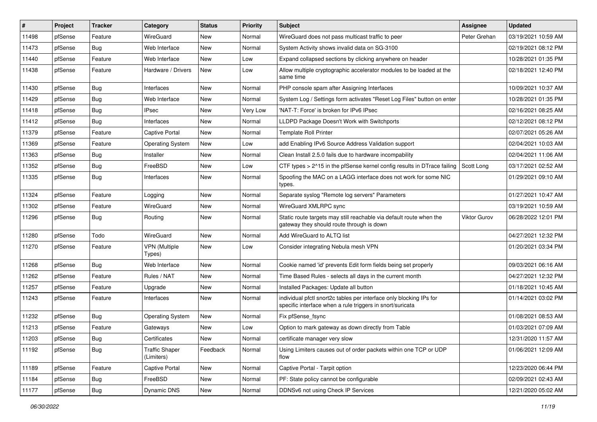| #     | Project | <b>Tracker</b> | Category                            | <b>Status</b> | <b>Priority</b> | <b>Subject</b>                                                                                                                   | Assignee     | <b>Updated</b>      |
|-------|---------|----------------|-------------------------------------|---------------|-----------------|----------------------------------------------------------------------------------------------------------------------------------|--------------|---------------------|
| 11498 | pfSense | Feature        | WireGuard                           | New           | Normal          | WireGuard does not pass multicast traffic to peer                                                                                | Peter Grehan | 03/19/2021 10:59 AM |
| 11473 | pfSense | Bug            | Web Interface                       | New           | Normal          | System Activity shows invalid data on SG-3100                                                                                    |              | 02/19/2021 08:12 PM |
| 11440 | pfSense | Feature        | Web Interface                       | New           | Low             | Expand collapsed sections by clicking anywhere on header                                                                         |              | 10/28/2021 01:35 PM |
| 11438 | pfSense | Feature        | Hardware / Drivers                  | New           | Low             | Allow multiple cryptographic accelerator modules to be loaded at the<br>same time                                                |              | 02/18/2021 12:40 PM |
| 11430 | pfSense | <b>Bug</b>     | Interfaces                          | New           | Normal          | PHP console spam after Assigning Interfaces                                                                                      |              | 10/09/2021 10:37 AM |
| 11429 | pfSense | <b>Bug</b>     | Web Interface                       | New           | Normal          | System Log / Settings form activates "Reset Log Files" button on enter                                                           |              | 10/28/2021 01:35 PM |
| 11418 | pfSense | <b>Bug</b>     | <b>IPsec</b>                        | New           | Very Low        | 'NAT-T: Force' is broken for IPv6 IPsec                                                                                          |              | 02/16/2021 08:25 AM |
| 11412 | pfSense | <b>Bug</b>     | Interfaces                          | New           | Normal          | LLDPD Package Doesn't Work with Switchports                                                                                      |              | 02/12/2021 08:12 PM |
| 11379 | pfSense | Feature        | <b>Captive Portal</b>               | New           | Normal          | <b>Template Roll Printer</b>                                                                                                     |              | 02/07/2021 05:26 AM |
| 11369 | pfSense | Feature        | <b>Operating System</b>             | New           | Low             | add Enabling IPv6 Source Address Validation support                                                                              |              | 02/04/2021 10:03 AM |
| 11363 | pfSense | <b>Bug</b>     | Installer                           | New           | Normal          | Clean Install 2.5.0 fails due to hardware incompability                                                                          |              | 02/04/2021 11:06 AM |
| 11352 | pfSense | Bug            | FreeBSD                             | New           | Low             | CTF types > 2^15 in the pfSense kernel config results in DTrace failing                                                          | Scott Long   | 03/17/2021 02:52 AM |
| 11335 | pfSense | <b>Bug</b>     | Interfaces                          | New           | Normal          | Spoofing the MAC on a LAGG interface does not work for some NIC<br>types.                                                        |              | 01/29/2021 09:10 AM |
| 11324 | pfSense | Feature        | Logging                             | New           | Normal          | Separate syslog "Remote log servers" Parameters                                                                                  |              | 01/27/2021 10:47 AM |
| 11302 | pfSense | Feature        | WireGuard                           | New           | Normal          | WireGuard XMLRPC sync                                                                                                            |              | 03/19/2021 10:59 AM |
| 11296 | pfSense | <b>Bug</b>     | Routing                             | New           | Normal          | Static route targets may still reachable via default route when the<br>gateway they should route through is down                 | Viktor Gurov | 06/28/2022 12:01 PM |
| 11280 | pfSense | Todo           | WireGuard                           | New           | Normal          | Add WireGuard to ALTQ list                                                                                                       |              | 04/27/2021 12:32 PM |
| 11270 | pfSense | Feature        | <b>VPN</b> (Multiple<br>Types)      | New           | Low             | Consider integrating Nebula mesh VPN                                                                                             |              | 01/20/2021 03:34 PM |
| 11268 | pfSense | Bug            | Web Interface                       | New           | Normal          | Cookie named 'id' prevents Edit form fields being set properly                                                                   |              | 09/03/2021 06:16 AM |
| 11262 | pfSense | Feature        | Rules / NAT                         | New           | Normal          | Time Based Rules - selects all days in the current month                                                                         |              | 04/27/2021 12:32 PM |
| 11257 | pfSense | Feature        | Upgrade                             | New           | Normal          | Installed Packages: Update all button                                                                                            |              | 01/18/2021 10:45 AM |
| 11243 | pfSense | Feature        | Interfaces                          | New           | Normal          | individual pfctl snort2c tables per interface only blocking IPs for<br>specific interface when a rule triggers in snort/suricata |              | 01/14/2021 03:02 PM |
| 11232 | pfSense | Bug            | <b>Operating System</b>             | New           | Normal          | Fix pfSense fsync                                                                                                                |              | 01/08/2021 08:53 AM |
| 11213 | pfSense | Feature        | Gateways                            | New           | Low             | Option to mark gateway as down directly from Table                                                                               |              | 01/03/2021 07:09 AM |
| 11203 | pfSense | Bug            | Certificates                        | New           | Normal          | certificate manager very slow                                                                                                    |              | 12/31/2020 11:57 AM |
| 11192 | pfSense | Bug            | <b>Traffic Shaper</b><br>(Limiters) | Feedback      | Normal          | Using Limiters causes out of order packets within one TCP or UDP<br>flow                                                         |              | 01/06/2021 12:09 AM |
| 11189 | pfSense | Feature        | Captive Portal                      | New           | Normal          | Captive Portal - Tarpit option                                                                                                   |              | 12/23/2020 06:44 PM |
| 11184 | pfSense | <b>Bug</b>     | FreeBSD                             | New           | Normal          | PF: State policy cannot be configurable                                                                                          |              | 02/09/2021 02:43 AM |
| 11177 | pfSense | <b>Bug</b>     | Dynamic DNS                         | New           | Normal          | DDNSv6 not using Check IP Services                                                                                               |              | 12/21/2020 05:02 AM |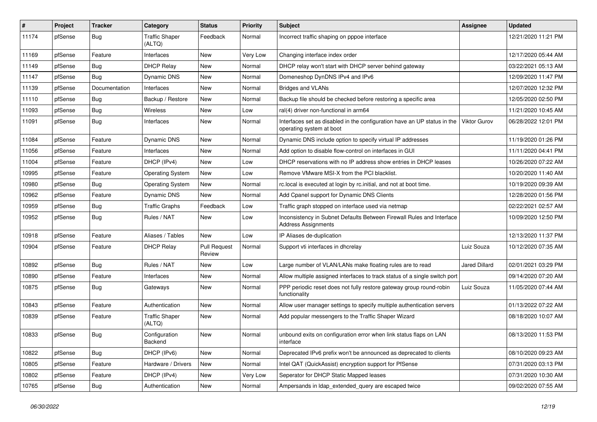| #     | Project | <b>Tracker</b> | Category                        | <b>Status</b>                 | <b>Priority</b> | <b>Subject</b>                                                                                       | <b>Assignee</b>      | <b>Updated</b>      |
|-------|---------|----------------|---------------------------------|-------------------------------|-----------------|------------------------------------------------------------------------------------------------------|----------------------|---------------------|
| 11174 | pfSense | Bug            | <b>Traffic Shaper</b><br>(ALTQ) | Feedback                      | Normal          | Incorrect traffic shaping on pppoe interface                                                         |                      | 12/21/2020 11:21 PM |
| 11169 | pfSense | Feature        | Interfaces                      | New                           | Very Low        | Changing interface index order                                                                       |                      | 12/17/2020 05:44 AM |
| 11149 | pfSense | <b>Bug</b>     | <b>DHCP Relay</b>               | New                           | Normal          | DHCP relay won't start with DHCP server behind gateway                                               |                      | 03/22/2021 05:13 AM |
| 11147 | pfSense | Bug            | <b>Dynamic DNS</b>              | New                           | Normal          | Domeneshop DynDNS IPv4 and IPv6                                                                      |                      | 12/09/2020 11:47 PM |
| 11139 | pfSense | Documentation  | Interfaces                      | New                           | Normal          | <b>Bridges and VLANs</b>                                                                             |                      | 12/07/2020 12:32 PM |
| 11110 | pfSense | <b>Bug</b>     | Backup / Restore                | New                           | Normal          | Backup file should be checked before restoring a specific area                                       |                      | 12/05/2020 02:50 PM |
| 11093 | pfSense | Bug            | Wireless                        | New                           | Low             | ral(4) driver non-functional in arm64                                                                |                      | 11/21/2020 10:45 AM |
| 11091 | pfSense | Bug            | Interfaces                      | New                           | Normal          | Interfaces set as disabled in the configuration have an UP status in the<br>operating system at boot | <b>Viktor Gurov</b>  | 06/28/2022 12:01 PM |
| 11084 | pfSense | Feature        | Dynamic DNS                     | New                           | Normal          | Dynamic DNS include option to specify virtual IP addresses                                           |                      | 11/19/2020 01:26 PM |
| 11056 | pfSense | Feature        | Interfaces                      | New                           | Normal          | Add option to disable flow-control on interfaces in GUI                                              |                      | 11/11/2020 04:41 PM |
| 11004 | pfSense | Feature        | DHCP (IPv4)                     | New                           | Low             | DHCP reservations with no IP address show entries in DHCP leases                                     |                      | 10/26/2020 07:22 AM |
| 10995 | pfSense | Feature        | <b>Operating System</b>         | New                           | Low             | Remove VMware MSI-X from the PCI blacklist.                                                          |                      | 10/20/2020 11:40 AM |
| 10980 | pfSense | Bug            | <b>Operating System</b>         | New                           | Normal          | rc.local is executed at login by rc.initial, and not at boot time.                                   |                      | 10/19/2020 09:39 AM |
| 10962 | pfSense | Feature        | Dynamic DNS                     | New                           | Normal          | Add Cpanel support for Dynamic DNS Clients                                                           |                      | 12/28/2020 01:56 PM |
| 10959 | pfSense | <b>Bug</b>     | <b>Traffic Graphs</b>           | Feedback                      | Low             | Traffic graph stopped on interface used via netmap                                                   |                      | 02/22/2021 02:57 AM |
| 10952 | pfSense | <b>Bug</b>     | Rules / NAT                     | New                           | Low             | Inconsistency in Subnet Defaults Between Firewall Rules and Interface<br><b>Address Assignments</b>  |                      | 10/09/2020 12:50 PM |
| 10918 | pfSense | Feature        | Aliases / Tables                | New                           | Low             | IP Aliases de-duplication                                                                            |                      | 12/13/2020 11:37 PM |
| 10904 | pfSense | Feature        | <b>DHCP Relay</b>               | <b>Pull Request</b><br>Review | Normal          | Support vti interfaces in dhcrelay                                                                   | Luiz Souza           | 10/12/2020 07:35 AM |
| 10892 | pfSense | Bug            | Rules / NAT                     | New                           | Low             | Large number of VLAN/LANs make floating rules are to read                                            | <b>Jared Dillard</b> | 02/01/2021 03:29 PM |
| 10890 | pfSense | Feature        | Interfaces                      | New                           | Normal          | Allow multiple assigned interfaces to track status of a single switch port                           |                      | 09/14/2020 07:20 AM |
| 10875 | pfSense | Bug            | Gateways                        | New                           | Normal          | PPP periodic reset does not fully restore gateway group round-robin<br>functionality                 | Luiz Souza           | 11/05/2020 07:44 AM |
| 10843 | pfSense | Feature        | Authentication                  | New                           | Normal          | Allow user manager settings to specify multiple authentication servers                               |                      | 01/13/2022 07:22 AM |
| 10839 | pfSense | Feature        | <b>Traffic Shaper</b><br>(ALTQ) | New                           | Normal          | Add popular messengers to the Traffic Shaper Wizard                                                  |                      | 08/18/2020 10:07 AM |
| 10833 | pfSense | Bug            | Configuration<br>Backend        | New                           | Normal          | unbound exits on configuration error when link status flaps on LAN<br>interface                      |                      | 08/13/2020 11:53 PM |
| 10822 | pfSense | <b>Bug</b>     | DHCP (IPv6)                     | New                           | Normal          | Deprecated IPv6 prefix won't be announced as deprecated to clients                                   |                      | 08/10/2020 09:23 AM |
| 10805 | pfSense | Feature        | Hardware / Drivers              | New                           | Normal          | Intel QAT (QuickAssist) encryption support for PfSense                                               |                      | 07/31/2020 03:13 PM |
| 10802 | pfSense | Feature        | DHCP (IPv4)                     | New                           | Very Low        | Seperator for DHCP Static Mapped leases                                                              |                      | 07/31/2020 10:30 AM |
| 10765 | pfSense | <b>Bug</b>     | Authentication                  | New                           | Normal          | Ampersands in Idap extended query are escaped twice                                                  |                      | 09/02/2020 07:55 AM |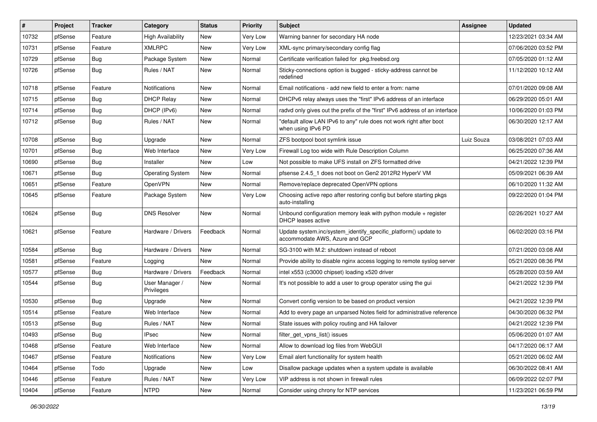| #     | Project | <b>Tracker</b> | Category                     | <b>Status</b> | <b>Priority</b> | Subject                                                                                           | Assignee   | <b>Updated</b>      |
|-------|---------|----------------|------------------------------|---------------|-----------------|---------------------------------------------------------------------------------------------------|------------|---------------------|
| 10732 | pfSense | Feature        | <b>High Availability</b>     | New           | Very Low        | Warning banner for secondary HA node                                                              |            | 12/23/2021 03:34 AM |
| 10731 | pfSense | Feature        | <b>XMLRPC</b>                | <b>New</b>    | Very Low        | XML-sync primary/secondary config flag                                                            |            | 07/06/2020 03:52 PM |
| 10729 | pfSense | <b>Bug</b>     | Package System               | New           | Normal          | Certificate verification failed for pkg.freebsd.org                                               |            | 07/05/2020 01:12 AM |
| 10726 | pfSense | <b>Bug</b>     | Rules / NAT                  | New           | Normal          | Sticky-connections option is bugged - sticky-address cannot be<br>redefined                       |            | 11/12/2020 10:12 AM |
| 10718 | pfSense | Feature        | <b>Notifications</b>         | New           | Normal          | Email notifications - add new field to enter a from: name                                         |            | 07/01/2020 09:08 AM |
| 10715 | pfSense | <b>Bug</b>     | <b>DHCP Relay</b>            | New           | Normal          | DHCPv6 relay always uses the "first" IPv6 address of an interface                                 |            | 06/29/2020 05:01 AM |
| 10714 | pfSense | Bug            | DHCP (IPv6)                  | <b>New</b>    | Normal          | radvd only gives out the prefix of the "first" IPv6 address of an interface                       |            | 10/06/2020 01:03 PM |
| 10712 | pfSense | <b>Bug</b>     | Rules / NAT                  | New           | Normal          | "default allow LAN IPv6 to any" rule does not work right after boot<br>when using IPv6 PD         |            | 06/30/2020 12:17 AM |
| 10708 | pfSense | <b>Bug</b>     | Upgrade                      | New           | Normal          | ZFS bootpool boot symlink issue                                                                   | Luiz Souza | 03/08/2021 07:03 AM |
| 10701 | pfSense | Bug            | Web Interface                | New           | Very Low        | Firewall Log too wide with Rule Description Column                                                |            | 06/25/2020 07:36 AM |
| 10690 | pfSense | Bug            | Installer                    | New           | Low             | Not possible to make UFS install on ZFS formatted drive                                           |            | 04/21/2022 12:39 PM |
| 10671 | pfSense | <b>Bug</b>     | <b>Operating System</b>      | New           | Normal          | pfsense 2.4.5 1 does not boot on Gen2 2012R2 HyperV VM                                            |            | 05/09/2021 06:39 AM |
| 10651 | pfSense | Feature        | OpenVPN                      | New           | Normal          | Remove/replace deprecated OpenVPN options                                                         |            | 06/10/2020 11:32 AM |
| 10645 | pfSense | Feature        | Package System               | New           | Very Low        | Choosing active repo after restoring config but before starting pkgs<br>auto-installing           |            | 09/22/2020 01:04 PM |
| 10624 | pfSense | <b>Bug</b>     | <b>DNS Resolver</b>          | New           | Normal          | Unbound configuration memory leak with python module + register<br>DHCP leases active             |            | 02/26/2021 10:27 AM |
| 10621 | pfSense | Feature        | Hardware / Drivers           | Feedback      | Normal          | Update system.inc/system_identify_specific_platform() update to<br>accommodate AWS, Azure and GCP |            | 06/02/2020 03:16 PM |
| 10584 | pfSense | Bug            | Hardware / Drivers           | New           | Normal          | SG-3100 with M.2: shutdown instead of reboot                                                      |            | 07/21/2020 03:08 AM |
| 10581 | pfSense | Feature        | Logging                      | New           | Normal          | Provide ability to disable nginx access logging to remote syslog server                           |            | 05/21/2020 08:36 PM |
| 10577 | pfSense | <b>Bug</b>     | Hardware / Drivers           | Feedback      | Normal          | intel x553 (c3000 chipset) loading x520 driver                                                    |            | 05/28/2020 03:59 AM |
| 10544 | pfSense | <b>Bug</b>     | User Manager /<br>Privileges | New           | Normal          | It's not possible to add a user to group operator using the gui                                   |            | 04/21/2022 12:39 PM |
| 10530 | pfSense | <b>Bug</b>     | Upgrade                      | New           | Normal          | Convert config version to be based on product version                                             |            | 04/21/2022 12:39 PM |
| 10514 | pfSense | Feature        | Web Interface                | New           | Normal          | Add to every page an unparsed Notes field for administrative reference                            |            | 04/30/2020 06:32 PM |
| 10513 | pfSense | <b>Bug</b>     | Rules / NAT                  | New           | Normal          | State issues with policy routing and HA failover                                                  |            | 04/21/2022 12:39 PM |
| 10493 | pfSense | i Bug          | <b>IPsec</b>                 | New           | Normal          | filter_get_vpns_list() issues                                                                     |            | 05/06/2020 01:07 AM |
| 10468 | pfSense | Feature        | Web Interface                | New           | Normal          | Allow to download log files from WebGUI                                                           |            | 04/17/2020 06:17 AM |
| 10467 | pfSense | Feature        | Notifications                | New           | Very Low        | Email alert functionality for system health                                                       |            | 05/21/2020 06:02 AM |
| 10464 | pfSense | Todo           | Upgrade                      | New           | Low             | Disallow package updates when a system update is available                                        |            | 06/30/2022 08:41 AM |
| 10446 | pfSense | Feature        | Rules / NAT                  | New           | Very Low        | VIP address is not shown in firewall rules                                                        |            | 06/09/2022 02:07 PM |
| 10404 | pfSense | Feature        | <b>NTPD</b>                  | New           | Normal          | Consider using chrony for NTP services                                                            |            | 11/23/2021 06:59 PM |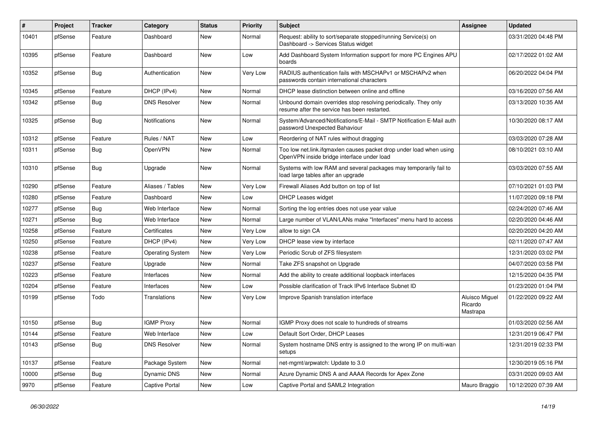| $\#$  | Project | <b>Tracker</b> | Category                | <b>Status</b> | <b>Priority</b> | <b>Subject</b>                                                                                                    | <b>Assignee</b>                              | <b>Updated</b>      |
|-------|---------|----------------|-------------------------|---------------|-----------------|-------------------------------------------------------------------------------------------------------------------|----------------------------------------------|---------------------|
| 10401 | pfSense | Feature        | Dashboard               | <b>New</b>    | Normal          | Request: ability to sort/separate stopped/running Service(s) on<br>Dashboard -> Services Status widget            |                                              | 03/31/2020 04:48 PM |
| 10395 | pfSense | Feature        | Dashboard               | New           | Low             | Add Dashboard System Information support for more PC Engines APU<br>boards                                        |                                              | 02/17/2022 01:02 AM |
| 10352 | pfSense | Bug            | Authentication          | New           | Very Low        | RADIUS authentication fails with MSCHAPv1 or MSCHAPv2 when<br>passwords contain international characters          |                                              | 06/20/2022 04:04 PM |
| 10345 | pfSense | Feature        | DHCP (IPv4)             | <b>New</b>    | Normal          | DHCP lease distinction between online and offline                                                                 |                                              | 03/16/2020 07:56 AM |
| 10342 | pfSense | Bug            | <b>DNS Resolver</b>     | New           | Normal          | Unbound domain overrides stop resolving periodically. They only<br>resume after the service has been restarted.   |                                              | 03/13/2020 10:35 AM |
| 10325 | pfSense | <b>Bug</b>     | Notifications           | New           | Normal          | System/Advanced/Notifications/E-Mail - SMTP Notification E-Mail auth<br>password Unexpected Bahaviour             |                                              | 10/30/2020 08:17 AM |
| 10312 | pfSense | Feature        | Rules / NAT             | <b>New</b>    | Low             | Reordering of NAT rules without dragging                                                                          |                                              | 03/03/2020 07:28 AM |
| 10311 | pfSense | <b>Bug</b>     | OpenVPN                 | <b>New</b>    | Normal          | Too low net.link.ifgmaxlen causes packet drop under load when using<br>OpenVPN inside bridge interface under load |                                              | 08/10/2021 03:10 AM |
| 10310 | pfSense | Bug            | Upgrade                 | New           | Normal          | Systems with low RAM and several packages may temporarily fail to<br>load large tables after an upgrade           |                                              | 03/03/2020 07:55 AM |
| 10290 | pfSense | Feature        | Aliases / Tables        | New           | Very Low        | Firewall Aliases Add button on top of list                                                                        |                                              | 07/10/2021 01:03 PM |
| 10280 | pfSense | Feature        | Dashboard               | <b>New</b>    | Low             | <b>DHCP Leases widget</b>                                                                                         |                                              | 11/07/2020 09:18 PM |
| 10277 | pfSense | Bug            | Web Interface           | <b>New</b>    | Normal          | Sorting the log entries does not use year value                                                                   |                                              | 02/24/2020 07:46 AM |
| 10271 | pfSense | Bug            | Web Interface           | <b>New</b>    | Normal          | Large number of VLAN/LANs make "Interfaces" menu hard to access                                                   |                                              | 02/20/2020 04:46 AM |
| 10258 | pfSense | Feature        | Certificates            | <b>New</b>    | Very Low        | allow to sign CA                                                                                                  |                                              | 02/20/2020 04:20 AM |
| 10250 | pfSense | Feature        | DHCP (IPv4)             | New           | Very Low        | DHCP lease view by interface                                                                                      |                                              | 02/11/2020 07:47 AM |
| 10238 | pfSense | Feature        | <b>Operating System</b> | New           | Very Low        | Periodic Scrub of ZFS filesystem                                                                                  |                                              | 12/31/2020 03:02 PM |
| 10237 | pfSense | Feature        | Upgrade                 | <b>New</b>    | Normal          | Take ZFS snapshot on Upgrade                                                                                      |                                              | 04/07/2020 03:58 PM |
| 10223 | pfSense | Feature        | Interfaces              | <b>New</b>    | Normal          | Add the ability to create additional loopback interfaces                                                          |                                              | 12/15/2020 04:35 PM |
| 10204 | pfSense | Feature        | Interfaces              | <b>New</b>    | Low             | Possible clarification of Track IPv6 Interface Subnet ID                                                          |                                              | 01/23/2020 01:04 PM |
| 10199 | pfSense | Todo           | <b>Translations</b>     | <b>New</b>    | Very Low        | Improve Spanish translation interface                                                                             | <b>Aluisco Miquel</b><br>Ricardo<br>Mastrapa | 01/22/2020 09:22 AM |
| 10150 | pfSense | Bug            | <b>IGMP Proxy</b>       | <b>New</b>    | Normal          | IGMP Proxy does not scale to hundreds of streams                                                                  |                                              | 01/03/2020 02:56 AM |
| 10144 | pfSense | Feature        | Web Interface           | New           | Low             | Default Sort Order, DHCP Leases                                                                                   |                                              | 12/31/2019 06:47 PM |
| 10143 | pfSense | <b>Bug</b>     | <b>DNS Resolver</b>     | New           | Normal          | System hostname DNS entry is assigned to the wrong IP on multi-wan<br>setups                                      |                                              | 12/31/2019 02:33 PM |
| 10137 | pfSense | Feature        | Package System          | New           | Normal          | net-mgmt/arpwatch: Update to 3.0                                                                                  |                                              | 12/30/2019 05:16 PM |
| 10000 | pfSense | <b>Bug</b>     | <b>Dynamic DNS</b>      | <b>New</b>    | Normal          | Azure Dynamic DNS A and AAAA Records for Apex Zone                                                                |                                              | 03/31/2020 09:03 AM |
| 9970  | pfSense | Feature        | <b>Captive Portal</b>   | New           | Low             | Captive Portal and SAML2 Integration                                                                              | Mauro Braggio                                | 10/12/2020 07:39 AM |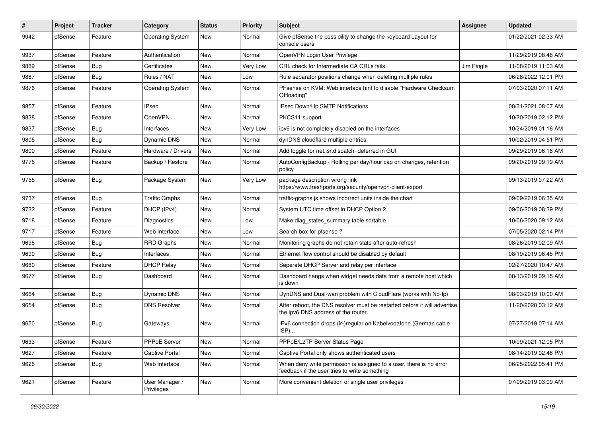| $\vert$ # | Project | <b>Tracker</b> | Category                     | <b>Status</b> | <b>Priority</b> | <b>Subject</b>                                                                                                       | <b>Assignee</b> | <b>Updated</b>      |
|-----------|---------|----------------|------------------------------|---------------|-----------------|----------------------------------------------------------------------------------------------------------------------|-----------------|---------------------|
| 9942      | pfSense | Feature        | <b>Operating System</b>      | New           | Normal          | Give pfSense the possibility to change the keyboard Layout for<br>console users                                      |                 | 01/22/2021 02:33 AM |
| 9937      | pfSense | Feature        | Authentication               | New           | Normal          | OpenVPN Login User Privilege                                                                                         |                 | 11/29/2019 08:46 AM |
| 9889      | pfSense | <b>Bug</b>     | Certificates                 | <b>New</b>    | Very Low        | CRL check for Intermediate CA CRLs fails                                                                             | Jim Pingle      | 11/08/2019 11:03 AM |
| 9887      | pfSense | Bug            | Rules / NAT                  | New           | Low             | Rule separator positions change when deleting multiple rules                                                         |                 | 06/28/2022 12:01 PM |
| 9876      | pfSense | Feature        | <b>Operating System</b>      | New           | Normal          | PFsense on KVM: Web interface hint to disable "Hardware Checksum<br>Offloading"                                      |                 | 07/03/2020 07:11 AM |
| 9857      | pfSense | Feature        | <b>IPsec</b>                 | <b>New</b>    | Normal          | IPsec Down/Up SMTP Notifications                                                                                     |                 | 08/31/2021 08:07 AM |
| 9838      | pfSense | Feature        | OpenVPN                      | New           | Normal          | PKCS11 support                                                                                                       |                 | 10/20/2019 02:12 PM |
| 9837      | pfSense | <b>Bug</b>     | Interfaces                   | <b>New</b>    | Very Low        | ipv6 is not completely disabled on the interfaces                                                                    |                 | 10/24/2019 01:16 AM |
| 9805      | pfSense | <b>Bug</b>     | Dynamic DNS                  | New           | Normal          | dynDNS cloudflare multiple entries                                                                                   |                 | 10/02/2019 04:51 PM |
| 9800      | pfSense | Feature        | Hardware / Drivers           | New           | Normal          | Add toggle for net.isr.dispatch=deferred in GUI                                                                      |                 | 09/29/2019 06:18 AM |
| 9775      | pfSense | Feature        | Backup / Restore             | New           | Normal          | AutoConfigBackup - Rolling per day/hour cap on changes, retention<br>policy                                          |                 | 09/20/2019 09:19 AM |
| 9755      | pfSense | <b>Bug</b>     | Package System               | New           | Very Low        | package description wrong link<br>https://www.freshports.org/security/openvpn-client-export                          |                 | 09/13/2019 07:22 AM |
| 9737      | pfSense | <b>Bug</b>     | <b>Traffic Graphs</b>        | New           | Normal          | traffic-graphs.js shows incorrect units inside the chart                                                             |                 | 09/09/2019 06:35 AM |
| 9732      | pfSense | Feature        | DHCP (IPv4)                  | <b>New</b>    | Normal          | System UTC time offset in DHCP Option 2                                                                              |                 | 09/06/2019 08:39 PM |
| 9718      | pfSense | Feature        | Diagnostics                  | New           | Low             | Make diag states summary table sortable                                                                              |                 | 10/06/2020 09:12 AM |
| 9717      | pfSense | Feature        | Web Interface                | <b>New</b>    | Low             | Search box for pfsense?                                                                                              |                 | 07/05/2020 02:14 PM |
| 9698      | pfSense | <b>Bug</b>     | <b>RRD Graphs</b>            | <b>New</b>    | Normal          | Monitoring graphs do not retain state after auto-refresh                                                             |                 | 08/26/2019 02:09 AM |
| 9690      | pfSense | Bug            | Interfaces                   | New           | Normal          | Ethernet flow control should be disabled by default                                                                  |                 | 08/19/2019 06:45 PM |
| 9680      | pfSense | Feature        | <b>DHCP Relay</b>            | <b>New</b>    | Normal          | Seperate DHCP Server and relay per interface                                                                         |                 | 02/27/2020 10:47 AM |
| 9677      | pfSense | <b>Bug</b>     | Dashboard                    | New           | Normal          | Dashboard hangs when widget needs data from a remote host which<br>is down                                           |                 | 08/13/2019 09:15 AM |
| 9664      | pfSense | <b>Bug</b>     | Dynamic DNS                  | New           | Normal          | DynDNS and Dual-wan problem with CloudFlare (works with No-Ip)                                                       |                 | 08/03/2019 10:00 AM |
| 9654      | pfSense | <b>Bug</b>     | <b>DNS Resolver</b>          | New           | Normal          | After reboot, the DNS resolver must be restarted before it will advertise<br>the ipv6 DNS address of the router.     |                 | 11/20/2020 03:12 AM |
| 9650      | pfSense | Bug            | Gateways                     | <b>New</b>    | Normal          | IPv6 connection drops (ir-)regular on Kabelvodafone (German cable<br>ISP)                                            |                 | 07/27/2019 07:14 AM |
| 9633      | pfSense | Feature        | PPPoE Server                 | New           | Normal          | PPPoE/L2TP Server Status Page                                                                                        |                 | 10/09/2021 12:05 PM |
| 9627      | pfSense | Feature        | <b>Captive Portal</b>        | New           | Normal          | Captive Portal only shows authenticated users                                                                        |                 | 08/14/2019 02:48 PM |
| 9626      | pfSense | <b>Bug</b>     | Web Interface                | New           | Normal          | When deny write permission is assigned to a user, there is no error<br>feedback if the user tries to write something |                 | 06/25/2022 05:41 PM |
| 9621      | pfSense | Feature        | User Manager /<br>Privileges | New           | Normal          | More convenient deletion of single user privileges                                                                   |                 | 07/09/2019 03:09 AM |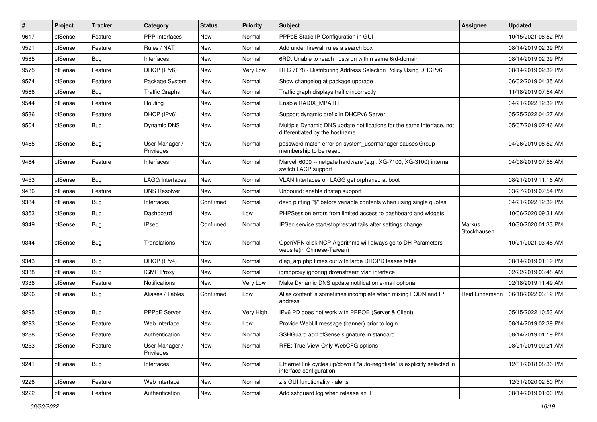| #    | Project | <b>Tracker</b> | Category                     | <b>Status</b> | <b>Priority</b> | <b>Subject</b>                                                                                          | Assignee              | <b>Updated</b>      |
|------|---------|----------------|------------------------------|---------------|-----------------|---------------------------------------------------------------------------------------------------------|-----------------------|---------------------|
| 9617 | pfSense | Feature        | <b>PPP</b> Interfaces        | New           | Normal          | PPPoE Static IP Configuration in GUI                                                                    |                       | 10/15/2021 08:52 PM |
| 9591 | pfSense | Feature        | Rules / NAT                  | New           | Normal          | Add under firewall rules a search box                                                                   |                       | 08/14/2019 02:39 PM |
| 9585 | pfSense | Bug            | Interfaces                   | New           | Normal          | 6RD: Unable to reach hosts on within same 6rd-domain                                                    |                       | 08/14/2019 02:39 PM |
| 9575 | pfSense | Feature        | DHCP (IPv6)                  | New           | Very Low        | RFC 7078 - Distributing Address Selection Policy Using DHCPv6                                           |                       | 08/14/2019 02:39 PM |
| 9574 | pfSense | Feature        | Package System               | <b>New</b>    | Normal          | Show changelog at package upgrade                                                                       |                       | 06/02/2019 04:35 AM |
| 9566 | pfSense | Bug            | <b>Traffic Graphs</b>        | New           | Normal          | Traffic graph displays traffic incorrectly                                                              |                       | 11/18/2019 07:54 AM |
| 9544 | pfSense | Feature        | Routing                      | New           | Normal          | Enable RADIX MPATH                                                                                      |                       | 04/21/2022 12:39 PM |
| 9536 | pfSense | Feature        | DHCP (IPv6)                  | <b>New</b>    | Normal          | Support dynamic prefix in DHCPv6 Server                                                                 |                       | 05/25/2022 04:27 AM |
| 9504 | pfSense | <b>Bug</b>     | Dynamic DNS                  | New           | Normal          | Multiple Dynamic DNS update notifications for the same interface, not<br>differentiated by the hostname |                       | 05/07/2019 07:46 AM |
| 9485 | pfSense | <b>Bug</b>     | User Manager /<br>Privileges | <b>New</b>    | Normal          | password match error on system_usermanager causes Group<br>membership to be reset.                      |                       | 04/26/2019 08:52 AM |
| 9464 | pfSense | Feature        | Interfaces                   | New           | Normal          | Marvell 6000 -- netgate hardware (e.g.: XG-7100, XG-3100) internal<br>switch LACP support               |                       | 04/08/2019 07:58 AM |
| 9453 | pfSense | Bug            | <b>LAGG Interfaces</b>       | New           | Normal          | VLAN Interfaces on LAGG get orphaned at boot                                                            |                       | 08/21/2019 11:16 AM |
| 9436 | pfSense | Feature        | <b>DNS Resolver</b>          | New           | Normal          | Unbound: enable dnstap support                                                                          |                       | 03/27/2019 07:54 PM |
| 9384 | pfSense | <b>Bug</b>     | Interfaces                   | Confirmed     | Normal          | devd putting "\$" before variable contents when using single quotes                                     |                       | 04/21/2022 12:39 PM |
| 9353 | pfSense | <b>Bug</b>     | Dashboard                    | New           | Low             | PHPSession errors from limited access to dashboard and widgets                                          |                       | 10/06/2020 09:31 AM |
| 9349 | pfSense | <b>Bug</b>     | <b>IPsec</b>                 | Confirmed     | Normal          | IPSec service start/stop/restart fails after settings change                                            | Markus<br>Stockhausen | 10/30/2020 01:33 PM |
| 9344 | pfSense | Bug            | Translations                 | <b>New</b>    | Normal          | OpenVPN click NCP Algorithms will always go to DH Parameters<br>website(in Chinese-Taiwan)              |                       | 10/21/2021 03:48 AM |
| 9343 | pfSense | <b>Bug</b>     | DHCP (IPv4)                  | <b>New</b>    | Normal          | diag_arp.php times out with large DHCPD leases table                                                    |                       | 08/14/2019 01:19 PM |
| 9338 | pfSense | Bug            | <b>IGMP Proxy</b>            | New           | Normal          | igmpproxy ignoring downstream vlan interface                                                            |                       | 02/22/2019 03:48 AM |
| 9336 | pfSense | Feature        | <b>Notifications</b>         | New           | Very Low        | Make Dynamic DNS update notification e-mail optional                                                    |                       | 02/18/2019 11:49 AM |
| 9296 | pfSense | Bug            | Aliases / Tables             | Confirmed     | Low             | Alias content is sometimes incomplete when mixing FQDN and IP<br>address                                | Reid Linnemann        | 06/18/2022 03:12 PM |
| 9295 | pfSense | Bug            | PPPoE Server                 | New           | Very High       | IPv6 PD does not work with PPPOE (Server & Client)                                                      |                       | 05/15/2022 10:53 AM |
| 9293 | pfSense | Feature        | Web Interface                | New           | Low             | Provide WebUI message (banner) prior to login                                                           |                       | 08/14/2019 02:39 PM |
| 9288 | pfSense | Feature        | Authentication               | New           | Normal          | SSHGuard add pfSense signature in standard                                                              |                       | 08/14/2019 01:19 PM |
| 9253 | pfSense | Feature        | User Manager /<br>Privileges | New           | Normal          | RFE: True View-Only WebCFG options                                                                      |                       | 08/21/2019 09:21 AM |
| 9241 | pfSense | <b>Bug</b>     | Interfaces                   | New           | Normal          | Ethernet link cycles up/down if "auto-negotiate" is explicitly selected in<br>interface configuration   |                       | 12/31/2018 08:36 PM |
| 9226 | pfSense | Feature        | Web Interface                | New           | Normal          | zfs GUI functionality - alerts                                                                          |                       | 12/31/2020 02:50 PM |
| 9222 | pfSense | Feature        | Authentication               | New           | Normal          | Add sshguard log when release an IP                                                                     |                       | 08/14/2019 01:00 PM |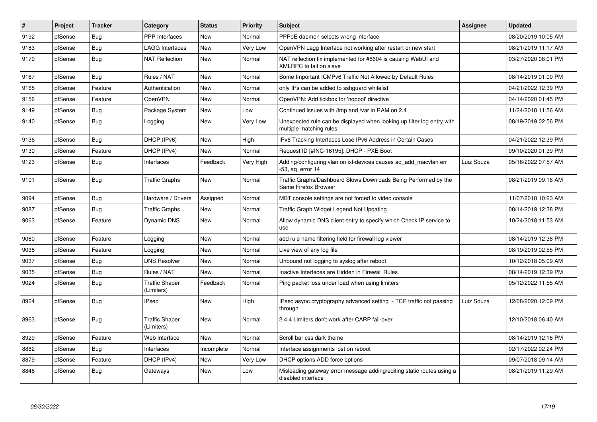| #    | Project | <b>Tracker</b> | Category                            | <b>Status</b> | Priority  | <b>Subject</b>                                                                                    | Assignee   | <b>Updated</b>      |
|------|---------|----------------|-------------------------------------|---------------|-----------|---------------------------------------------------------------------------------------------------|------------|---------------------|
| 9192 | pfSense | <b>Bug</b>     | <b>PPP</b> Interfaces               | New           | Normal    | PPPoE daemon selects wrong interface                                                              |            | 08/20/2019 10:05 AM |
| 9183 | pfSense | Bug            | LAGG Interfaces                     | New           | Very Low  | OpenVPN Lagg Interface not working after restart or new start                                     |            | 08/21/2019 11:17 AM |
| 9179 | pfSense | <b>Bug</b>     | <b>NAT Reflection</b>               | <b>New</b>    | Normal    | NAT reflection fix implemented for #8604 is causing WebUI and<br>XMLRPC to fail on slave          |            | 03/27/2020 08:01 PM |
| 9167 | pfSense | <b>Bug</b>     | Rules / NAT                         | <b>New</b>    | Normal    | Some Important ICMPv6 Traffic Not Allowed by Default Rules                                        |            | 08/14/2019 01:00 PM |
| 9165 | pfSense | Feature        | Authentication                      | New           | Normal    | only IPs can be added to sshguard whitelist                                                       |            | 04/21/2022 12:39 PM |
| 9156 | pfSense | Feature        | <b>OpenVPN</b>                      | <b>New</b>    | Normal    | OpenVPN: Add tickbox for 'nopool' directive                                                       |            | 04/14/2020 01:45 PM |
| 9149 | pfSense | <b>Bug</b>     | Package System                      | <b>New</b>    | Low       | Continued issues with /tmp and /var in RAM on 2.4                                                 |            | 11/24/2018 11:56 AM |
| 9140 | pfSense | Bug            | Logging                             | New           | Very Low  | Unexpected rule can be displayed when looking up filter log entry with<br>multiple matching rules |            | 08/19/2019 02:56 PM |
| 9136 | pfSense | <b>Bug</b>     | DHCP (IPv6)                         | <b>New</b>    | High      | IPv6 Tracking Interfaces Lose IPv6 Address in Certain Cases                                       |            | 04/21/2022 12:39 PM |
| 9130 | pfSense | Feature        | DHCP (IPv4)                         | New           | Normal    | Request ID [#INC-16195]: DHCP - PXE Boot                                                          |            | 09/10/2020 01:39 PM |
| 9123 | pfSense | <b>Bug</b>     | Interfaces                          | Feedback      | Very High | Adding/configuring vlan on ixl-devices causes ag add macvlan err<br>$-53$ , ag error 14           | Luiz Souza | 05/16/2022 07:57 AM |
| 9101 | pfSense | <b>Bug</b>     | <b>Traffic Graphs</b>               | New           | Normal    | Traffic Graphs/Dashboard Slows Downloads Being Performed by the<br>Same Firefox Browser           |            | 08/21/2019 09:18 AM |
| 9094 | pfSense | Bug            | Hardware / Drivers                  | Assigned      | Normal    | MBT console settings are not forced to video console                                              |            | 11/07/2018 10:23 AM |
| 9087 | pfSense | Bug            | <b>Traffic Graphs</b>               | New           | Normal    | Traffic Graph Widget Legend Not Updating                                                          |            | 08/14/2019 12:38 PM |
| 9063 | pfSense | Feature        | Dynamic DNS                         | New           | Normal    | Allow dynamic DNS client entry to specify which Check IP service to<br>use                        |            | 10/24/2018 11:53 AM |
| 9060 | pfSense | Feature        | Logging                             | New           | Normal    | add rule name filtering field for firewall log viewer                                             |            | 08/14/2019 12:38 PM |
| 9038 | pfSense | Feature        | Logging                             | <b>New</b>    | Normal    | Live view of any log file                                                                         |            | 08/19/2019 02:55 PM |
| 9037 | pfSense | Bug            | <b>DNS Resolver</b>                 | New           | Normal    | Unbound not logging to syslog after reboot                                                        |            | 10/12/2018 05:09 AM |
| 9035 | pfSense | <b>Bug</b>     | Rules / NAT                         | New           | Normal    | Inactive Interfaces are Hidden in Firewall Rules                                                  |            | 08/14/2019 12:39 PM |
| 9024 | pfSense | <b>Bug</b>     | <b>Traffic Shaper</b><br>(Limiters) | Feedback      | Normal    | Ping packet loss under load when using limiters                                                   |            | 05/12/2022 11:55 AM |
| 8964 | pfSense | <b>Bug</b>     | <b>IPsec</b>                        | <b>New</b>    | High      | IPsec async cryptography advanced setting - TCP traffic not passing<br>through                    | Luiz Souza | 12/08/2020 12:09 PM |
| 8963 | pfSense | Bug            | <b>Traffic Shaper</b><br>(Limiters) | New           | Normal    | 2.4.4 Limiters don't work after CARP fail-over                                                    |            | 12/10/2018 06:40 AM |
| 8929 | pfSense | Feature        | Web Interface                       | <b>New</b>    | Normal    | Scroll bar css dark theme                                                                         |            | 08/14/2019 12:16 PM |
| 8882 | pfSense | <b>Bug</b>     | Interfaces                          | Incomplete    | Normal    | Interface assignments lost on reboot                                                              |            | 02/17/2022 02:24 PM |
| 8879 | pfSense | Feature        | DHCP (IPv4)                         | New           | Very Low  | DHCP options ADD force options                                                                    |            | 09/07/2018 09:14 AM |
| 8846 | pfSense | Bug            | Gateways                            | New           | Low       | Misleading gateway error message adding/editing static routes using a<br>disabled interface       |            | 08/21/2019 11:29 AM |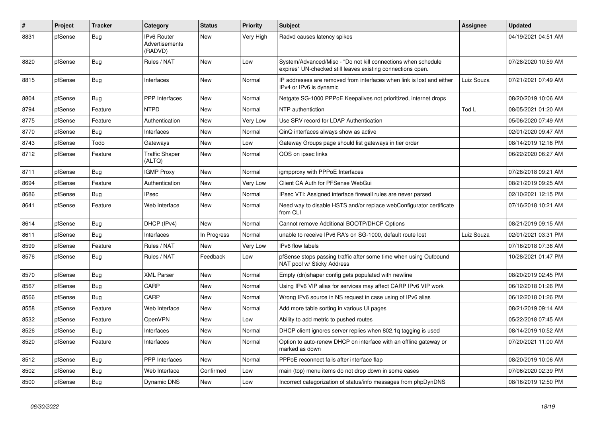| $\#$ | <b>Project</b> | <b>Tracker</b> | Category                                 | <b>Status</b> | <b>Priority</b> | <b>Subject</b>                                                                                                               | Assignee   | <b>Updated</b>      |
|------|----------------|----------------|------------------------------------------|---------------|-----------------|------------------------------------------------------------------------------------------------------------------------------|------------|---------------------|
| 8831 | pfSense        | Bug            | IPv6 Router<br>Advertisements<br>(RADVD) | New           | Very High       | Radvd causes latency spikes                                                                                                  |            | 04/19/2021 04:51 AM |
| 8820 | pfSense        | Bug            | Rules / NAT                              | New           | Low             | System/Advanced/Misc - "Do not kill connections when schedule<br>expires" UN-checked still leaves existing connections open. |            | 07/28/2020 10:59 AM |
| 8815 | pfSense        | <b>Bug</b>     | Interfaces                               | New           | Normal          | IP addresses are removed from interfaces when link is lost and either<br>IPv4 or IPv6 is dynamic                             | Luiz Souza | 07/21/2021 07:49 AM |
| 8804 | pfSense        | <b>Bug</b>     | <b>PPP</b> Interfaces                    | <b>New</b>    | Normal          | Netgate SG-1000 PPPoE Keepalives not prioritized, internet drops                                                             |            | 08/20/2019 10:06 AM |
| 8794 | pfSense        | Feature        | <b>NTPD</b>                              | New           | Normal          | NTP authentiction                                                                                                            | Tod L      | 08/05/2021 01:20 AM |
| 8775 | pfSense        | Feature        | Authentication                           | <b>New</b>    | Very Low        | Use SRV record for LDAP Authentication                                                                                       |            | 05/06/2020 07:49 AM |
| 8770 | pfSense        | <b>Bug</b>     | Interfaces                               | New           | Normal          | QinQ interfaces always show as active                                                                                        |            | 02/01/2020 09:47 AM |
| 8743 | pfSense        | Todo           | Gateways                                 | New           | Low             | Gateway Groups page should list gateways in tier order                                                                       |            | 08/14/2019 12:16 PM |
| 8712 | pfSense        | Feature        | <b>Traffic Shaper</b><br>(ALTQ)          | New           | Normal          | QOS on ipsec links                                                                                                           |            | 06/22/2020 06:27 AM |
| 8711 | pfSense        | Bug            | <b>IGMP Proxy</b>                        | <b>New</b>    | Normal          | igmpproxy with PPPoE Interfaces                                                                                              |            | 07/28/2018 09:21 AM |
| 8694 | pfSense        | Feature        | Authentication                           | New           | Very Low        | Client CA Auth for PFSense WebGui                                                                                            |            | 08/21/2019 09:25 AM |
| 8686 | pfSense        | Bug            | <b>IPsec</b>                             | <b>New</b>    | Normal          | IPsec VTI: Assigned interface firewall rules are never parsed                                                                |            | 02/10/2021 12:15 PM |
| 8641 | pfSense        | Feature        | Web Interface                            | <b>New</b>    | Normal          | Need way to disable HSTS and/or replace webConfigurator certificate<br>from CLI                                              |            | 07/16/2018 10:21 AM |
| 8614 | pfSense        | <b>Bug</b>     | DHCP (IPv4)                              | New           | Normal          | Cannot remove Additional BOOTP/DHCP Options                                                                                  |            | 08/21/2019 09:15 AM |
| 8611 | pfSense        | Bug            | Interfaces                               | In Progress   | Normal          | unable to receive IPv6 RA's on SG-1000, default route lost                                                                   | Luiz Souza | 02/01/2021 03:31 PM |
| 8599 | pfSense        | Feature        | Rules / NAT                              | New           | Very Low        | IPv6 flow labels                                                                                                             |            | 07/16/2018 07:36 AM |
| 8576 | pfSense        | <b>Bug</b>     | Rules / NAT                              | Feedback      | Low             | pfSense stops passing traffic after some time when using Outbound<br>NAT pool w/ Sticky Address                              |            | 10/28/2021 01:47 PM |
| 8570 | pfSense        | Bug            | <b>XML Parser</b>                        | New           | Normal          | Empty (dn)shaper config gets populated with newline                                                                          |            | 08/20/2019 02:45 PM |
| 8567 | pfSense        | <b>Bug</b>     | CARP                                     | <b>New</b>    | Normal          | Using IPv6 VIP alias for services may affect CARP IPv6 VIP work                                                              |            | 06/12/2018 01:26 PM |
| 8566 | pfSense        | Bug            | CARP                                     | <b>New</b>    | Normal          | Wrong IPv6 source in NS request in case using of IPv6 alias                                                                  |            | 06/12/2018 01:26 PM |
| 8558 | pfSense        | Feature        | Web Interface                            | New           | Normal          | Add more table sorting in various UI pages                                                                                   |            | 08/21/2019 09:14 AM |
| 8532 | pfSense        | Feature        | OpenVPN                                  | New           | Low             | Ability to add metric to pushed routes                                                                                       |            | 05/22/2018 07:45 AM |
| 8526 | pfSense        | Bug            | Interfaces                               | New           | Normal          | DHCP client ignores server replies when 802.1q tagging is used                                                               |            | 08/14/2019 10:52 AM |
| 8520 | pfSense        | Feature        | Interfaces                               | New           | Normal          | Option to auto-renew DHCP on interface with an offline gateway or<br>marked as down                                          |            | 07/20/2021 11:00 AM |
| 8512 | pfSense        | <b>Bug</b>     | <b>PPP</b> Interfaces                    | New           | Normal          | PPPoE reconnect fails after interface flap                                                                                   |            | 08/20/2019 10:06 AM |
| 8502 | pfSense        | Bug            | Web Interface                            | Confirmed     | Low             | main (top) menu items do not drop down in some cases                                                                         |            | 07/06/2020 02:39 PM |
| 8500 | pfSense        | <b>Bug</b>     | Dynamic DNS                              | New           | Low             | Incorrect categorization of status/info messages from phpDynDNS                                                              |            | 08/16/2019 12:50 PM |